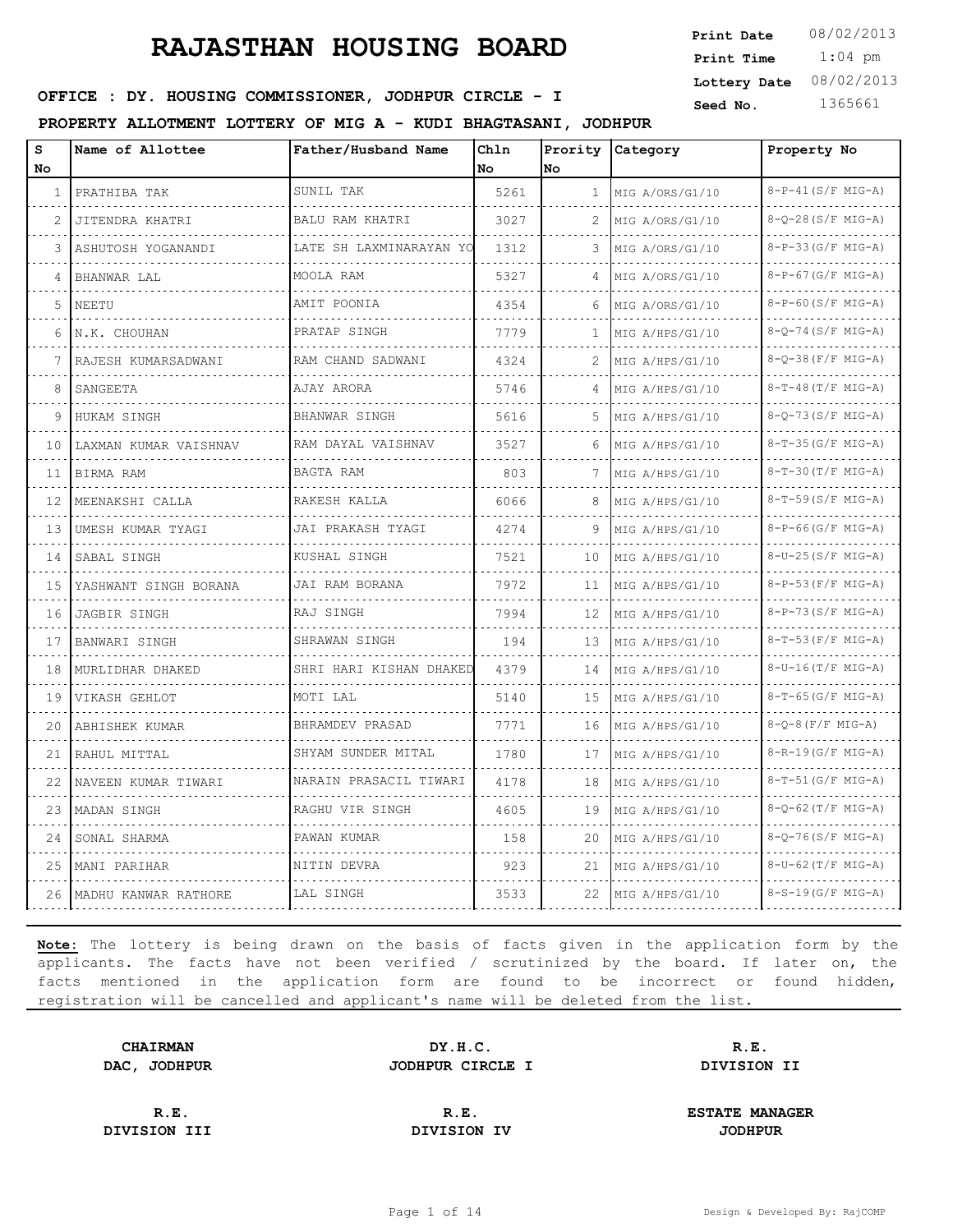1:04 pm **Print Date**  $08/02/2013$ **Print Time Lottery Date** 08/02/2013

# **SEED INC. HOUSING COMMISSIONER, JODHPUR CIRCLE - I** Seed No. 1365661

**PROPERTY ALLOTMENT LOTTERY OF MIG A - KUDI BHAGTASANI, JODHPUR**

| s  | Name of Allottee      | Father/Husband Name     | Ch1n |                | Prority Category | Property No               |
|----|-----------------------|-------------------------|------|----------------|------------------|---------------------------|
| No |                       |                         | No.  | No.            |                  |                           |
| 1  | PRATHIBA TAK          | SUNIL TAK               | 5261 | $\mathbf{1}$   | MIG A/ORS/G1/10  | $8 - P - 41(S/F MIG-A)$   |
| 2  | JITENDRA KHATRI       | BALU RAM KHATRI         | 3027 | 2              | MIG A/ORS/G1/10  | $8-Q-28(S/F MIG-A)$       |
| 3  | ASHUTOSH YOGANANDI    | LATE SH LAXMINARAYAN YO | 1312 | 3              | MIG A/ORS/G1/10  | $8 - P - 33(G/F MIG - A)$ |
| 4  | BHANWAR LAL           | MOOLA RAM               | 5327 | 4              | MIG A/ORS/G1/10  | $8-P-67(G/F MIG-A)$       |
| 5  | NEETU                 | AMIT POONIA             | 4354 | 6              | MIG A/ORS/G1/10  | $8-P-60(S/F MIG-A)$       |
| 6  | N.K. CHOUHAN          | PRATAP SINGH            | 7779 | 1              | MIG A/HPS/G1/10  | $8-Q-74(S/F MIG-A)$       |
| 7  | RAJESH KUMARSADWANI   | RAM CHAND SADWANI       | 4324 |                | MIG A/HPS/G1/10  | $8-Q-38(F/F MIG-A)$       |
| 8  | SANGEETA              | AJAY ARORA              | 5746 | $\overline{4}$ | MIG A/HPS/G1/10  | $8-T-48(T/F MIG-A)$       |
| 9  | HUKAM SINGH           | <b>BHANWAR SINGH</b>    | 5616 | .5             | MIG A/HPS/G1/10  | $8-Q-73(S/F MIG-A)$       |
| 10 | LAXMAN KUMAR VAISHNAV | RAM DAYAL VAISHNAV      | 3527 | 6              | MIG A/HPS/G1/10  | $8-T-35(G/F MIG-A)$       |
| 11 | BIRMA RAM             | BAGTA RAM               | 803  |                | MIG A/HPS/G1/10  | $8-T-30(T/F MIG-A)$       |
| 12 | MEENAKSHI CALLA       | RAKESH KALLA            | 6066 | 8              | MIG A/HPS/G1/10  | $8-T-59(S/F MIG-A)$       |
| 13 | UMESH KUMAR TYAGI     | JAI PRAKASH TYAGI       | 4274 | 9              | MIG A/HPS/G1/10  | $8-P-66(G/F MIG-A)$       |
| 14 | SABAL SINGH           | KUSHAL SINGH            | 7521 | 10             | MIG A/HPS/G1/10  | $8-U-25(S/F MIG-A)$       |
| 15 | YASHWANT SINGH BORANA | JAI RAM BORANA          | 7972 | 11             | MIG A/HPS/G1/10  | $8 - P - 53(F/F MIG-A)$   |
| 16 | .<br>JAGBIR SINGH     | RAJ SINGH               | 7994 | 12             | MIG A/HPS/G1/10  | 8-P-73 (S/F MIG-A)        |
| 17 | BANWARI SINGH         | SHRAWAN SINGH           | 194  | 13             | MIG A/HPS/G1/10  | $8-T-53(F/F MIG-A)$       |
| 18 | MURLIDHAR DHAKED      | SHRI HARI KISHAN DHAKED | 4379 | 14             | MIG A/HPS/G1/10  | $8-U-16(T/F MIG-A)$       |
| 19 | VIKASH GEHLOT         | MOTI LAL                | 5140 | 15             | MIG A/HPS/G1/10  | $8-T-65(G/F MIG-A)$       |
| 20 | ABHISHEK KUMAR        | BHRAMDEV PRASAD         | 7771 | 16             | MIG A/HPS/G1/10  | $8 - 0 - 8$ (F/F MIG-A)   |
| 21 | RAHUL MITTAL          | SHYAM SUNDER MITAL      | 1780 | 17             | MIG A/HPS/G1/10  | 8-R-19 (G/F MIG-A)        |
| 22 | NAVEEN KUMAR TIWARI   | NARAIN PRASACIL TIWARI  | 4178 | 18             | MIG A/HPS/G1/10  | $8-T-51(G/F MIG-A)$       |
| 23 | MADAN SINGH           | RAGHU VIR SINGH         | 4605 | 19             | MIG A/HPS/G1/10  | $8 - 0 - 62$ (T/F MIG-A)  |
| 24 | SONAL SHARMA          | PAWAN KUMAR             | 158  | 20             | MIG A/HPS/G1/10  | $8-Q-76(S/F MIG-A)$       |
| 25 | MANI PARIHAR          | NITIN DEVRA             | 923  | 21             | MIG A/HPS/G1/10  | $8-U-62(T/F MIG-A)$       |
| 26 | MADHU KANWAR RATHORE  | LAL SINGH               | 3533 | 22             | MIG A/HPS/G1/10  | $8-S-19(G/F MIG-A)$       |

**Note:** The lottery is being drawn on the basis of facts given in the application form by the applicants. The facts have not been verified / scrutinized by the board. If later on, the facts mentioned in the application form are found to be incorrect or found hidden, registration will be cancelled and applicant's name will be deleted from the list.

**CHAIRMAN DY.H.C. R.E. DAC, JODHPUR JODHPUR CIRCLE I DIVISION II**

**DIVISION III DIVISION IV JODHPUR**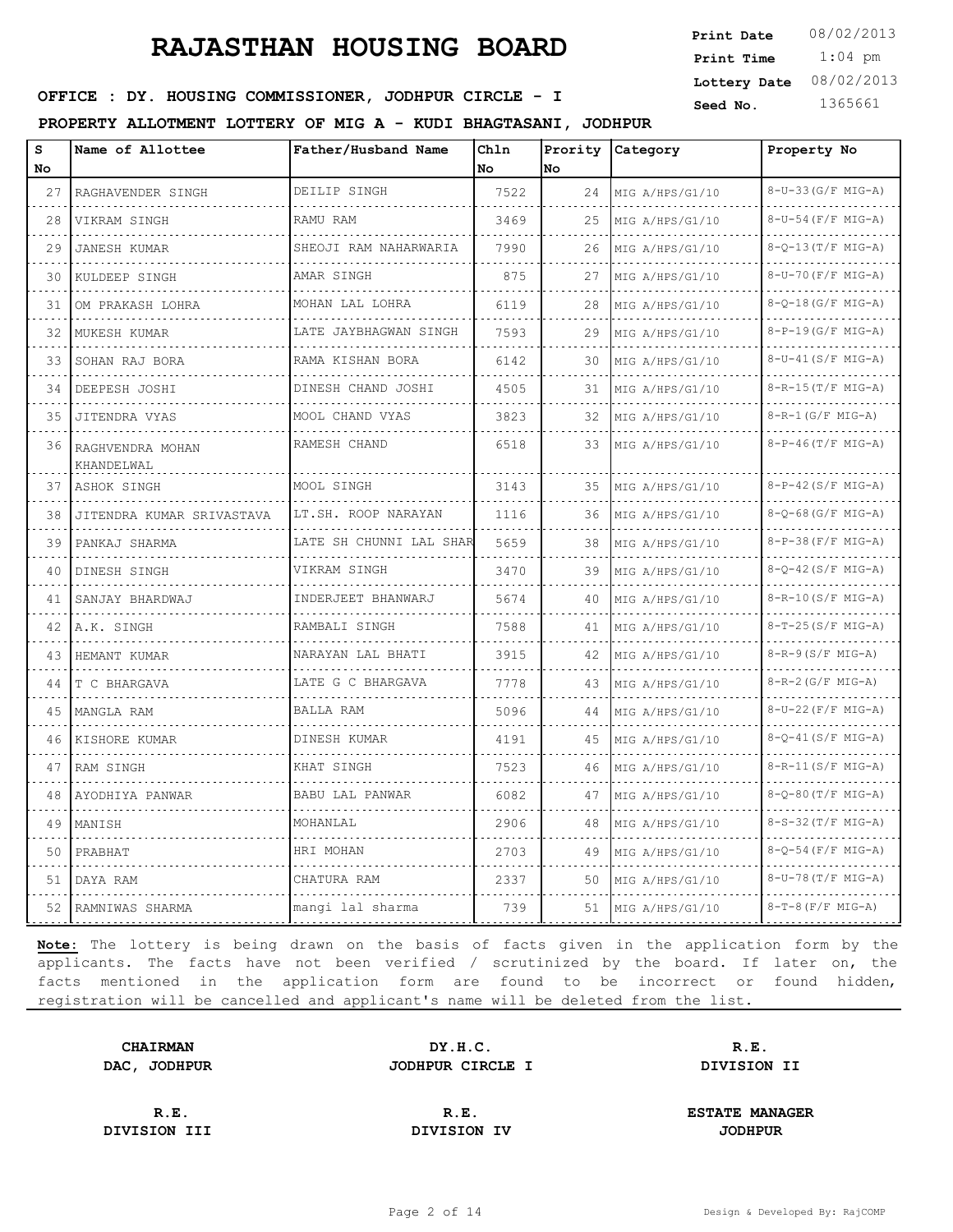1:04 pm **Print Time Print Date**  $08/02/2013$ **Lottery Date** 08/02/2013

# **SEED INC. HOUSING COMMISSIONER, JODHPUR CIRCLE - I** Seed No. 1365661

**PROPERTY ALLOTMENT LOTTERY OF MIG A - KUDI BHAGTASANI, JODHPUR**

| $\mathbf{s}$ | Name of Allottee               | Father/Husband Name     | Chln |    | Prority Category | Property No               |
|--------------|--------------------------------|-------------------------|------|----|------------------|---------------------------|
| No           |                                |                         | No   | No |                  |                           |
| 27           | RAGHAVENDER SINGH              | DEILIP SINGH            | 7522 | 24 | MIG A/HPS/G1/10  | 8-U-33 (G/F MIG-A)        |
| 28           | VIKRAM SINGH                   | RAMU RAM                | 3469 | 25 | MIG A/HPS/G1/10  | $8-U-54$ (F/F MIG-A)      |
| 29           | JANESH KUMAR                   | SHEOJI RAM NAHARWARIA   | 7990 | 26 | MIG A/HPS/G1/10  | $8 - 0 - 13(T/F MIG-A)$   |
| 30           | KULDEEP SINGH                  | AMAR SINGH              | 875  | 27 | MIG A/HPS/G1/10  | $8-U-70(F/F MIG-A)$       |
| 31           | OM PRAKASH LOHRA               | MOHAN LAL LOHRA         | 6119 | 28 | MIG A/HPS/G1/10  | 8-Q-18 (G/F MIG-A)        |
| 32           | MUKESH KUMAR                   | LATE JAYBHAGWAN SINGH   | 7593 | 29 | MIG A/HPS/G1/10  | $8 - P - 19(G/F MIG - A)$ |
| 33           | SOHAN RAJ BORA                 | RAMA KISHAN BORA<br>.   | 6142 | 30 | MIG A/HPS/G1/10  | $8-U-41(S/F MIG-A)$       |
| 34           | DEEPESH JOSHI                  | DINESH CHAND JOSHI      | 4505 | 31 | MIG A/HPS/G1/10  | $8 - R - 15$ (T/F MIG-A)  |
| 35           | JITENDRA VYAS                  | MOOL CHAND VYAS         | 3823 | 32 | MIG A/HPS/G1/10  | $8-R-1$ (G/F MIG-A)       |
| 36           | RAGHVENDRA MOHAN<br>KHANDELWAL | RAMESH CHAND            | 6518 | 33 | MIG A/HPS/G1/10  | $8-P-46(T/F MIG-A)$       |
| 37           | ASHOK SINGH                    | MOOL SINGH              | 3143 | 35 | MIG A/HPS/G1/10  | $8-P-42(S/F MIG-A)$       |
| 38           | JITENDRA KUMAR SRIVASTAVA      | LT.SH. ROOP NARAYAN     | 1116 | 36 | MIG A/HPS/G1/10  | 8-Q-68 (G/F MIG-A)        |
| 39           | PANKAJ SHARMA                  | LATE SH CHUNNI LAL SHAR | 5659 | 38 | MIG A/HPS/G1/10  | $8-P-38(F/F MIG-A)$       |
| 40           | DINESH SINGH                   | VIKRAM SINGH            | 3470 | 39 | MIG A/HPS/G1/10  | $8 - 0 - 42$ (S/F MIG-A)  |
| 41           | SANJAY BHARDWAJ                | INDERJEET BHANWARJ<br>. | 5674 | 40 | MIG A/HPS/G1/10  | 8-R-10(S/F MIG-A)         |
| 42           | A.K. SINGH                     | RAMBALI SINGH           | 7588 | 41 | MIG A/HPS/G1/10  | $8-T-25(S/F MIG-A)$       |
| 43           | HEMANT KUMAR                   | NARAYAN LAL BHATI       | 3915 | 42 | MIG A/HPS/G1/10  | $8 - R - 9 (S/F MIG-A)$   |
| 44           | T C BHARGAVA                   | LATE G C BHARGAVA       | 7778 | 43 | MIG A/HPS/G1/10  | $8 - R - 2$ (G/F MIG-A)   |
| 45           | MANGLA RAM                     | BALLA RAM               | 5096 | 44 | MIG A/HPS/G1/10  | 8-U-22 (F/F MIG-A)        |
| 46           | KISHORE KUMAR                  | DINESH KUMAR            | 4191 | 45 | MIG A/HPS/G1/10  | $8-Q-41(S/F MIG-A)$       |
| 47           | RAM SINGH                      | KHAT SINGH              | 7523 | 46 | MIG A/HPS/G1/10  | 8-R-11(S/F MIG-A)         |
| 48           | AYODHIYA PANWAR                | BABU LAL PANWAR         | 6082 | 47 | MIG A/HPS/G1/10  | $8-Q-80(T/F MIG-A)$       |
| 49           | MANISH                         | MOHANLAL                | 2906 | 48 | MIG A/HPS/G1/10  | $8-S-32(T/F MIG-A)$       |
| 50           | PRABHAT                        | HRI MOHAN               | 2703 | 49 | MIG A/HPS/G1/10  | 8-Q-54 (F/F MIG-A)        |
| 51           | DAYA RAM                       | CHATURA RAM             | 2337 | 50 | MIG A/HPS/G1/10  | 8-U-78 (T/F MIG-A)        |
| 52           | RAMNIWAS SHARMA                | mangi lal sharma        | 739  | 51 | MIG A/HPS/G1/10  | $8-T-8(F/F MIG-A)$        |

**Note:** The lottery is being drawn on the basis of facts given in the application form by the applicants. The facts have not been verified / scrutinized by the board. If later on, the facts mentioned in the application form are found to be incorrect or found hidden, registration will be cancelled and applicant's name will be deleted from the list.

**CHAIRMAN DY.H.C. R.E. DAC, JODHPUR JODHPUR CIRCLE I DIVISION II**

**R.E. R.E. ESTATE MANAGER DIVISION III DIVISION IV JODHPUR**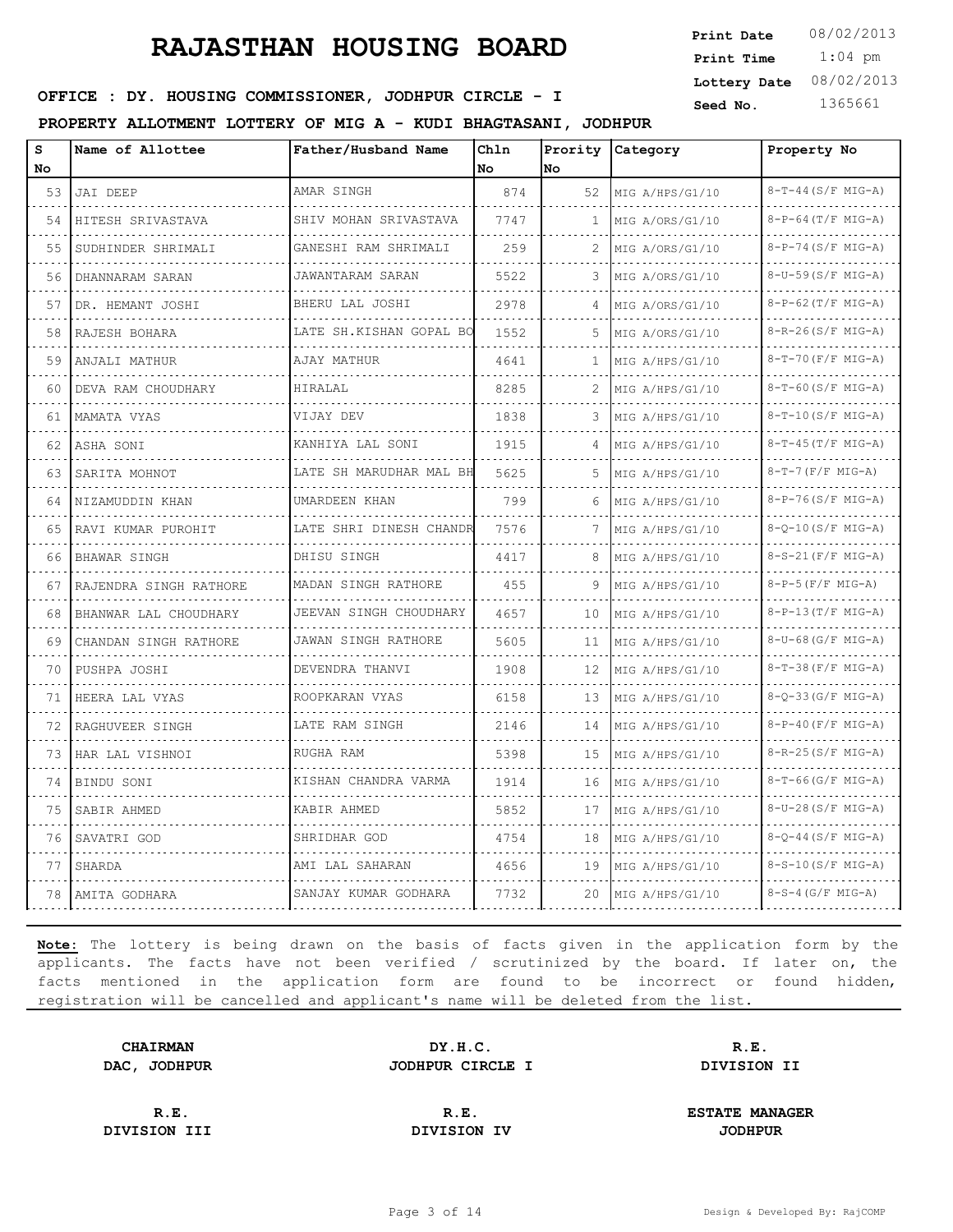1:04 pm **Print Date**  $08/02/2013$ **Print Time Lottery Date** 08/02/2013

# **SEED INC. HOUSING COMMISSIONER, JODHPUR CIRCLE - I** Seed No. 1365661

**PROPERTY ALLOTMENT LOTTERY OF MIG A - KUDI BHAGTASANI, JODHPUR**

| s<br>No | Name of Allottee       | Father/Husband Name     | Chln<br>No | No. | Prority Category     | Property No               |
|---------|------------------------|-------------------------|------------|-----|----------------------|---------------------------|
| 53      | JAI DEEP               | AMAR SINGH              | 874        | 52  | MIG A/HPS/G1/10      | $8-T-44(S/F MIG-A)$       |
| 54      | HITESH SRIVASTAVA      | SHIV MOHAN SRIVASTAVA   | 7747       | 1   | MIG A/ORS/G1/10      | $8-P-64(T/F MIG-A)$       |
| 55      | SUDHINDER SHRIMALI     | GANESHI RAM SHRIMALI    | 259        | 2   | MIG A/ORS/G1/10      | $8-P-74(S/F MIG-A)$       |
| 56      | DHANNARAM SARAN        | JAWANTARAM SARAN        | 5522       | 3   | MIG A/ORS/G1/10      | $8-U-59(S/F MIG-A)$       |
| 57      | DR. HEMANT JOSHI       | BHERU LAL JOSHI         | 2978       | 4   | MIG A/ORS/G1/10      | $8-P-62(T/F MIG-A)$       |
| 58      | RAJESH BOHARA          | LATE SH.KISHAN GOPAL BO | 1552       | .5  | .<br>MIG A/ORS/G1/10 | $8 - R - 26(S/F MIG-A)$   |
| 59      | ANJALI MATHUR          | AJAY MATHUR             | 4641       | 1   | MIG A/HPS/G1/10      | $8-T-70(F/F MIG-A)$       |
| 60      | DEVA RAM CHOUDHARY     | HIRALAL                 | 8285       | 2   | MIG A/HPS/G1/10      | $8-T-60(S/F MIG-A)$       |
| 61      | MAMATA VYAS            | VIJAY DEV               | 1838       | 3   | MIG A/HPS/G1/10      | $8-T-10(S/F MIG-A)$       |
| 62      | ASHA SONI              | KANHIYA LAL SONI        | 1915       |     | MIG A/HPS/G1/10      | $8-T-45(T/F MIG-A)$       |
| 63      | .<br>SARITA MOHNOT     | LATE SH MARUDHAR MAL BH | 5625       | 5   | MIG A/HPS/G1/10      | $8-T-7(F/F MIG-A)$        |
| 64      | NIZAMUDDIN KHAN        | .<br>UMARDEEN KHAN      | 799        | 6   | MIG A/HPS/G1/10      | $8-P-76(S/F MIG-A)$       |
| 65      | RAVI KUMAR PUROHIT     | LATE SHRI DINESH CHANDR | 7576       |     | MIG A/HPS/G1/10      | $8-Q-10(S/F MIG-A)$       |
| 66      | BHAWAR SINGH           | DHISU SINGH             | 4417       | 8   | MIG A/HPS/G1/10      | $8-S-21$ (F/F MIG-A)      |
| 67      | RAJENDRA SINGH RATHORE | MADAN SINGH RATHORE     | 455        | 9   | MIG A/HPS/G1/10      | $8-P-5(F/F MIG-A)$        |
| 68      | BHANWAR LAL CHOUDHARY  | JEEVAN SINGH CHOUDHARY  | 4657       | 10  | MIG A/HPS/G1/10      | $8 - P - 13(T/F MIG-A)$   |
| 69      | CHANDAN SINGH RATHORE  | JAWAN SINGH RATHORE     | 5605       | 11  | MIG A/HPS/G1/10      | 8-U-68 (G/F MIG-A)        |
| 70      | PUSHPA JOSHI           | DEVENDRA THANVI         | 1908       | 12  | MIG A/HPS/G1/10      | $8-T-38(F/F MIG-A)$       |
| 71      | HEERA LAL VYAS         | ROOPKARAN VYAS<br>.     | 6158       | 13  | MIG A/HPS/G1/10      | $8-Q-33(G/F MIG-A)$       |
| 72      | RAGHUVEER SINGH        | LATE RAM SINGH          | 2146       | 14  | MIG A/HPS/G1/10      | $8 - P - 40(F/F MIG - A)$ |
| 73      | HAR LAL VISHNOI        | RUGHA RAM               | 5398       | 15  | MIG A/HPS/G1/10      | $8 - R - 25(S/F MIG-A)$   |
| 74      | BINDU SONI             | KISHAN CHANDRA VARMA    | 1914       | 16  | MIG A/HPS/G1/10      | $8-T-66(G/F MIG-A)$       |
| 75      | SABIR AHMED            | KABIR AHMED             | 5852       | 17  | MIG A/HPS/G1/10      | $8-U-28(S/F MIG-A)$       |
| 76      | SAVATRI GOD            | SHRIDHAR GOD            | 4754       | 18  | MIG A/HPS/G1/10      | $8-Q-44(S/F MIG-A)$       |
| 77      | SHARDA                 | AMI LAL SAHARAN         | 4656       | 19  | MIG A/HPS/G1/10      | $8-S-10(S/F MIG-A)$       |
| 78      | AMITA GODHARA          | SANJAY KUMAR GODHARA    | 7732       | 20  | MIG A/HPS/G1/10      | $8-S-4(G/F MIG-A)$        |

**Note:** The lottery is being drawn on the basis of facts given in the application form by the applicants. The facts have not been verified / scrutinized by the board. If later on, the facts mentioned in the application form are found to be incorrect or found hidden, registration will be cancelled and applicant's name will be deleted from the list.

**CHAIRMAN DY.H.C. R.E. DAC, JODHPUR JODHPUR CIRCLE I DIVISION II**

**DIVISION III DIVISION IV JODHPUR**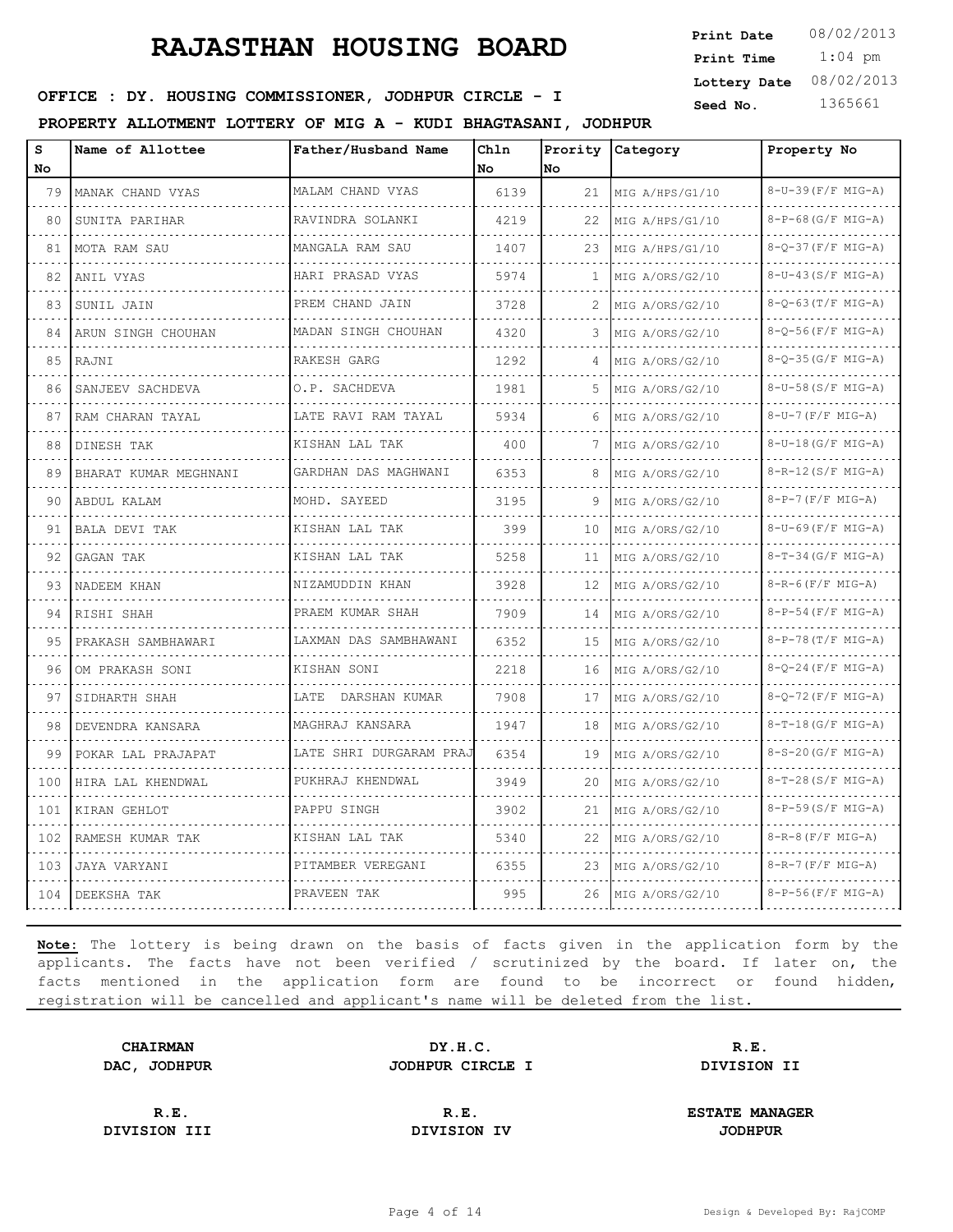1:04 pm **Print Date**  $08/02/2013$ **Print Time Lottery Date** 08/02/2013

# **SEED INC. HOUSING COMMISSIONER, JODHPUR CIRCLE - I** Seed No. 1365661

**PROPERTY ALLOTMENT LOTTERY OF MIG A - KUDI BHAGTASANI, JODHPUR**

| s   | Name of Allottee        | Father/Husband Name     | Chln |     | Prority Category | Property No              |
|-----|-------------------------|-------------------------|------|-----|------------------|--------------------------|
| No. |                         |                         | No   | No. |                  |                          |
| 79  | MANAK CHAND VYAS        | MALAM CHAND VYAS        | 6139 | 21  | MIG A/HPS/G1/10  | 8-U-39 (F/F MIG-A)       |
| 80  | SUNITA PARIHAR          | RAVINDRA SOLANKI        | 4219 | 22  | MIG A/HPS/G1/10  | $8-P-68(G/F MIG-A)$      |
| 81  | MOTA RAM SAU            | MANGALA RAM SAU         | 1407 | 23  | MIG A/HPS/G1/10  | $8 - 0 - 37 (F/F MIG-A)$ |
| 82  | ANIL VYAS               | HARI PRASAD VYAS        | 5974 | п.  | MIG A/ORS/G2/10  | 8-U-43(S/F MIG-A)        |
| 83  | SUNIL JAIN              | PREM CHAND JAIN         | 3728 | 2   | MIG A/ORS/G2/10  | 8-Q-63 (T/F MIG-A)       |
| 84  | ARUN SINGH CHOUHAN      | MADAN SINGH CHOUHAN     | 4320 | 3   | MIG A/ORS/G2/10  | $8 - 0 - 56(F)$ MIG-A)   |
| 85  | RAJNI                   | RAKESH GARG<br>.        | 1292 | 4   | MIG A/ORS/G2/10  | 8-Q-35 (G/F MIG-A)       |
| 86  | SANJEEV SACHDEVA        | O.P. SACHDEVA           | 1981 | 5   | MIG A/ORS/G2/10  | 8-U-58 (S/F MIG-A)       |
| 87  | RAM CHARAN TAYAL        | LATE RAVI RAM TAYAL     | 5934 | 6   | MIG A/ORS/G2/10  | $8-U-7(F/F MIG-A)$       |
| 88  | DINESH TAK              | KISHAN LAL TAK          | 400  |     | MIG A/ORS/G2/10  | $8-U-18(G/F MIG-A)$      |
| 89  | BHARAT KUMAR MEGHNANI   | GARDHAN DAS MAGHWANI    | 6353 | 8   | MIG A/ORS/G2/10  | $8 - R - 12(S/F MIG-A)$  |
| 90  | ABDUL KALAM             | MOHD. SAYEED            | 3195 | 9   | MIG A/ORS/G2/10  | $8-P-7(F/F MIG-A)$       |
| 91  | BALA DEVI TAK           | KISHAN LAL TAK          | 399  | 10  | MIG A/ORS/G2/10  | $8-U-69(F/F MIG-A)$      |
| 92  | GAGAN TAK               | KISHAN LAL TAK          | 5258 | 11  | MIG A/ORS/G2/10  | $8-T-34(G/F MIG-A)$      |
| 93  | NADEEM KHAN             | NIZAMUDDIN KHAN         | 3928 | 12  | MIG A/ORS/G2/10  | $8 - R - 6(F/F MIG-A)$   |
| 94  | RISHI SHAH              | PRAEM KUMAR SHAH        | 7909 | 14  | MIG A/ORS/G2/10  | $8-P-54$ (F/F MIG-A)     |
| 95  | PRAKASH SAMBHAWARI      | LAXMAN DAS SAMBHAWANI   | 6352 | 15  | MIG A/ORS/G2/10  | $8-P-78(T/F MIG-A)$      |
| 96  | OM PRAKASH SONI         | KISHAN SONI             | 2218 | 16  | MIG A/ORS/G2/10  | $8 - 0 - 24$ (F/F MIG-A) |
| 97  | SIDHARTH SHAH           | LATE DARSHAN KUMAR      | 7908 | 17  | MIG A/ORS/G2/10  | 8-Q-72 (F/F MIG-A)       |
| 98  | DEVENDRA KANSARA        | MAGHRAJ KANSARA         | 1947 | 18  | MIG A/ORS/G2/10  | $8-T-18(G/F MIG-A)$      |
| 99  | POKAR LAL PRAJAPAT<br>. | LATE SHRI DURGARAM PRAJ | 6354 | 19  | MIG A/ORS/G2/10  | $8-S-20(G/F MIG-A)$      |
| 100 | HIRA LAL KHENDWAL       | PUKHRAJ KHENDWAL        | 3949 | 20  | MIG A/ORS/G2/10  | $8-T-28(S/F MIG-A)$      |
| 101 | KIRAN GEHLOT            | PAPPU SINGH             | 3902 | 21  | MIG A/ORS/G2/10  | 8-P-59(S/F MIG-A)        |
| 102 | RAMESH KUMAR TAK        | KISHAN LAL TAK          | 5340 | 22  | MIG A/ORS/G2/10  | $8-R-8$ (F/F MIG-A)      |
| 103 | JAYA VARYANI            | PITAMBER VEREGANI       | 6355 | 23  | MIG A/ORS/G2/10  | $8 - R - 7 (F/F MIG-A)$  |
| 104 | DEEKSHA TAK             | PRAVEEN TAK             | 995  | 26  | MIG A/ORS/G2/10  | $8 - P - 56(F/F MIG-A)$  |

**Note:** The lottery is being drawn on the basis of facts given in the application form by the applicants. The facts have not been verified / scrutinized by the board. If later on, the facts mentioned in the application form are found to be incorrect or found hidden, registration will be cancelled and applicant's name will be deleted from the list.

**CHAIRMAN DY.H.C. R.E. DAC, JODHPUR JODHPUR CIRCLE I DIVISION II**

**DIVISION III DIVISION IV JODHPUR**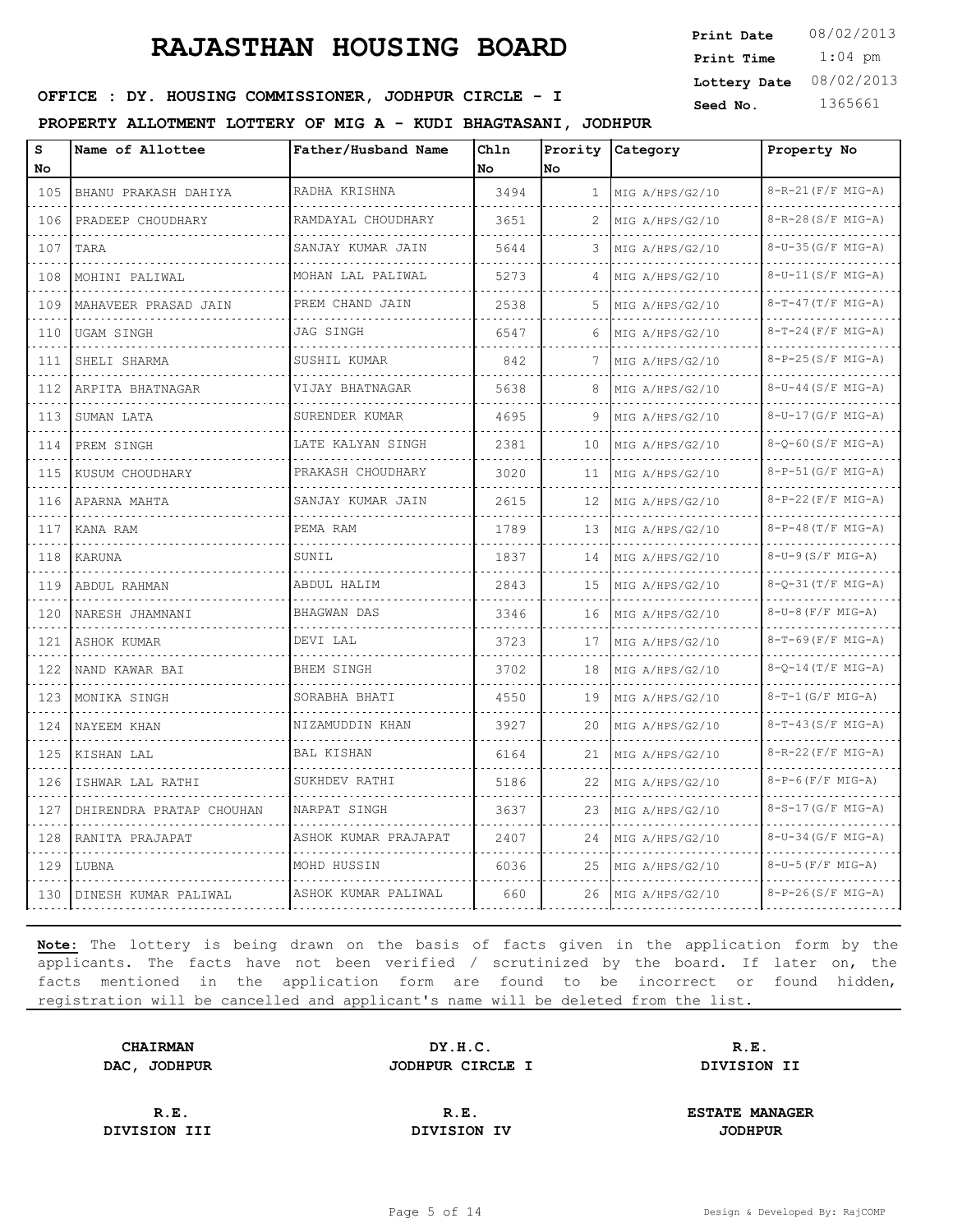1:04 pm **Print Date**  $08/02/2013$ **Print Time Lottery Date** 08/02/2013

# **SEED INC. HOUSING COMMISSIONER, JODHPUR CIRCLE - I** Seed No. 1365661

**PROPERTY ALLOTMENT LOTTERY OF MIG A - KUDI BHAGTASANI, JODHPUR**

| s                                             | Name of Allottee         | Father/Husband Name  | Chln |    | Prority Category | Property No               |
|-----------------------------------------------|--------------------------|----------------------|------|----|------------------|---------------------------|
| No                                            |                          |                      | No   | No |                  |                           |
| 105                                           | BHANU PRAKASH DAHIYA     | RADHA KRISHNA        | 3494 | 1  | MIG A/HPS/G2/10  | $8 - R - 21 (F/F MIG-A)$  |
| 106                                           | PRADEEP CHOUDHARY        | RAMDAYAL CHOUDHARY   | 3651 | 2  | MIG A/HPS/G2/10  | $8 - R - 28(S/F MIG-A)$   |
| 107                                           | TARA                     | SANJAY KUMAR JAIN    | 5644 | 3  | MIG A/HPS/G2/10  | $8-U-35(G/F MIG-A)$       |
| 108                                           | MOHINI PALIWAL           | MOHAN LAL PALIWAL    | 5273 | 4  | MIG A/HPS/G2/10  | 8-U-11(S/F MIG-A)         |
| .<br>109                                      | MAHAVEER PRASAD JAIN     | PREM CHAND JAIN      | 2538 | 5  | MIG A/HPS/G2/10  | $8-T-47(T/F MIG-A)$       |
| 110                                           | UGAM SINGH               | JAG SINGH            | 6547 | 6  | MIG A/HPS/G2/10  | $8-T-24$ (F/F MIG-A)      |
| 111<br>.                                      | SHELI SHARMA             | SUSHIL KUMAR         | 842  |    | MIG A/HPS/G2/10  | $8-P-25(S/F MIG-A)$       |
| 112<br>.                                      | ARPITA BHATNAGAR         | VIJAY BHATNAGAR      | 5638 | 8  | MIG A/HPS/G2/10  | 8-U-44(S/F MIG-A)         |
| 113                                           | SUMAN LATA               | SURENDER KUMAR       | 4695 | 9  | MIG A/HPS/G2/10  | $8-U-17(G/F MIG-A)$       |
| 114                                           | PREM SINGH               | LATE KALYAN SINGH    | 2381 | 10 | MIG A/HPS/G2/10  | $8-Q-60(S/F MIG-A)$       |
| 115                                           | KUSUM CHOUDHARY          | PRAKASH CHOUDHARY    | 3020 | 11 | MIG A/HPS/G2/10  | $8-P-51(G/F MIG-A)$       |
| 116                                           | APARNA MAHTA             | SANJAY KUMAR JAIN    | 2615 | 12 | MIG A/HPS/G2/10  | $8-P-22(F/F MIG-A)$       |
| 117<br>د د د د                                | KANA RAM                 | PEMA RAM             | 1789 | 13 | MIG A/HPS/G2/10  | $8-P-48(T/F MIG-A)$       |
| 118                                           | <b>KARUNA</b>            | SUNIL                | 1837 | 14 | MIG A/HPS/G2/10  | $8-U-9(S/F MIG-A)$        |
| 119<br>a di di                                | ABDUL RAHMAN             | ABDUL HALIM          | 2843 | 15 | MIG A/HPS/G2/10  | $8-Q-31(T/F MIG-A)$       |
| 120<br>د د د د                                | NARESH JHAMNANI          | BHAGWAN DAS          | 3346 | 16 | MIG A/HPS/G2/10  | $8-U-8$ (F/F MIG-A)       |
| 121                                           | ASHOK KUMAR              | DEVI LAL             | 3723 | 17 | MIG A/HPS/G2/10  | $8-T-69(F/F MIG-A)$       |
| 122                                           | NAND KAWAR BAI           | BHEM SINGH           | 3702 | 18 | MIG A/HPS/G2/10  | $8-Q-14(T/F MIG-A)$       |
| 123                                           | MONIKA SINGH             | SORABHA BHATI        | 4550 | 19 | MIG A/HPS/G2/10  | $8-T-1$ (G/F MIG-A)       |
| 124                                           | NAYEEM KHAN              | NIZAMUDDIN KHAN      | 3927 | 20 | MIG A/HPS/G2/10  | $8-T-43(S/F MIG-A)$       |
| $\sim$ $\sim$ $\sim$ $\sim$<br>125<br>الداعات | KISHAN LAL               | BAL KISHAN           | 6164 | 21 | MIG A/HPS/G2/10  | 8-R-22 (F/F MIG-A)        |
| 126                                           | ISHWAR LAL RATHI         | SUKHDEV RATHI        | 5186 | 22 | MIG A/HPS/G2/10  | $8-P-6(F/F MIG-A)$        |
| 127                                           | DHIRENDRA PRATAP CHOUHAN | NARPAT SINGH         | 3637 | 23 | MIG A/HPS/G2/10  | $8-S-17(G/F MIG-A)$       |
| د عام عام<br>128                              | RANITA PRAJAPAT          | ASHOK KUMAR PRAJAPAT | 2407 | 24 | MIG A/HPS/G2/10  | 8-U-34 (G/F MIG-A)        |
| 129                                           | LUBNA                    | MOHD HUSSIN          | 6036 | 25 | MIG A/HPS/G2/10  | $8-U-5(F/F MIG-A)$        |
| 130                                           | DINESH KUMAR PALIWAL     | ASHOK KUMAR PALIWAL  | 660  | 26 | MIG A/HPS/G2/10  | $8 - P - 26(S/F MIG - A)$ |

**Note:** The lottery is being drawn on the basis of facts given in the application form by the applicants. The facts have not been verified / scrutinized by the board. If later on, the facts mentioned in the application form are found to be incorrect or found hidden, registration will be cancelled and applicant's name will be deleted from the list.

**CHAIRMAN DY.H.C. R.E. DAC, JODHPUR JODHPUR CIRCLE I DIVISION II**

**DIVISION III DIVISION IV JODHPUR**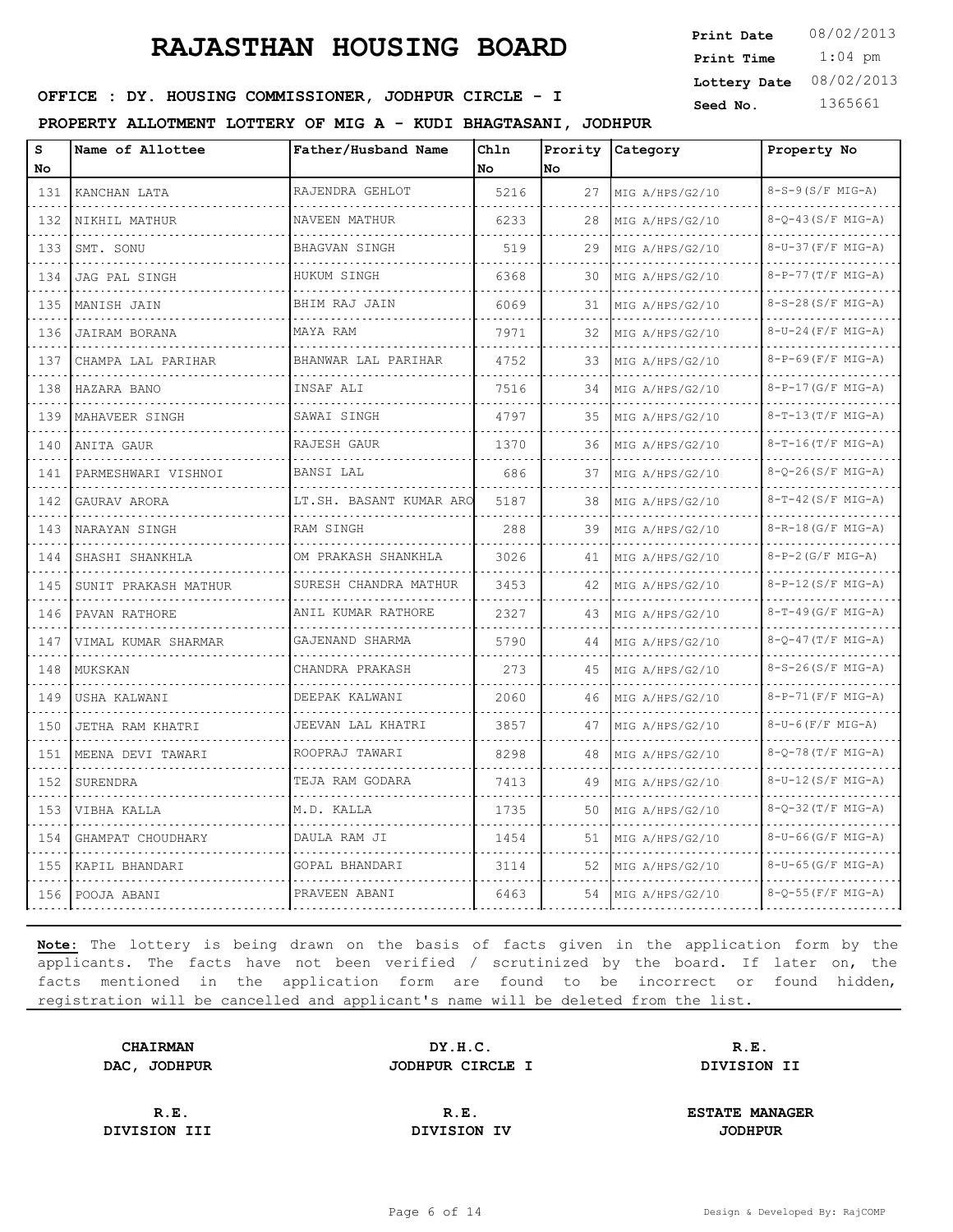1:04 pm **Print Date**  $08/02/2013$ **Print Time Lottery Date** 08/02/2013

# **SEED INC. HOUSING COMMISSIONER, JODHPUR CIRCLE - I** Seed No. 1365661

**PROPERTY ALLOTMENT LOTTERY OF MIG A - KUDI BHAGTASANI, JODHPUR**

| s                | Name of Allottee     | Father/Husband Name     | Chln |     | Prority Category | Property No              |
|------------------|----------------------|-------------------------|------|-----|------------------|--------------------------|
| No               |                      |                         | No.  | No. |                  |                          |
| 131              | KANCHAN LATA         | RAJENDRA GEHLOT         | 5216 | 27  | MIG A/HPS/G2/10  | $8-S-9(S/F MIG-A)$       |
| 132              | NIKHIL MATHUR        | NAVEEN MATHUR           | 6233 | 28  | MIG A/HPS/G2/10  | $8-Q-43(S/F MIG-A)$      |
| 133              | SMT. SONU            | BHAGVAN SINGH           | 519  | 29  | MIG A/HPS/G2/10  | $8-U-37(F/F MIG-A)$      |
| 134              | JAG PAL SINGH        | HUKUM SINGH             | 6368 | 30  | MIG A/HPS/G2/10  | $8-P-77(T/F MIG-A)$      |
| .<br>135         | MANISH JAIN          | BHIM RAJ JAIN           | 6069 | 31  | MIG A/HPS/G2/10  | $8-S-28(S/F MIG-A)$      |
| 136              | JAIRAM BORANA        | MAYA RAM                | 7971 | 32  | MIG A/HPS/G2/10  | $8-U-24$ (F/F MIG-A)     |
| 137<br>.         | CHAMPA LAL PARIHAR   | BHANWAR LAL PARIHAR     | 4752 | 33  | MIG A/HPS/G2/10  | $8-P-69$ (F/F MIG-A)     |
| 138<br>.         | HAZARA BANO          | INSAF ALI               | 7516 | 34  | MIG A/HPS/G2/10  | 8-P-17 (G/F MIG-A)       |
| 139              | MAHAVEER SINGH       | SAWAI SINGH             | 4797 | 35  | MIG A/HPS/G2/10  | $8-T-13(T/F MIG-A)$      |
| 140              | ANITA GAUR           | RAJESH GAUR             | 1370 | 36  | MIG A/HPS/G2/10  | $8-T-16(T/F MIG-A)$      |
| وساعدت<br>141    | PARMESHWARI VISHNOI  | BANSI LAL               | 686  | 37  | MIG A/HPS/G2/10  | $8 - 0 - 26(S/F MIG-A)$  |
| 142              | GAURAV ARORA         | LT.SH. BASANT KUMAR ARO | 5187 | 38  | MIG A/HPS/G2/10  | $8-T-42(S/F MIG-A)$      |
| 143<br>.         | NARAYAN SINGH        | RAM SINGH               | 288  | 39  | MIG A/HPS/G2/10  | 8-R-18 (G/F MIG-A)       |
| 144              | SHASHI SHANKHLA      | OM PRAKASH SHANKHLA     | 3026 | 41  | MIG A/HPS/G2/10  | $8-P-2(G/F MIG-A)$       |
| 145              | SUNIT PRAKASH MATHUR | SURESH CHANDRA MATHUR   | 3453 | 42  | MIG A/HPS/G2/10  | $8-P-12(S/F MIG-A)$      |
| 146<br>المتعاطي  | PAVAN RATHORE        | ANIL KUMAR RATHORE      | 2327 | 43  | MIG A/HPS/G2/10  | $8-T-49(G/F MIG-A)$      |
| 147              | VIMAL KUMAR SHARMAR  | GAJENAND SHARMA         | 5790 | 44  | MIG A/HPS/G2/10  | $8-Q-47(T/F MIG-A)$      |
| 148              | MUKSKAN              | CHANDRA PRAKASH         | 273  | 45  | MIG A/HPS/G2/10  | 8-S-26(S/F MIG-A)        |
| 149              | USHA KALWANI         | DEEPAK KALWANI          | 2060 | 46  | MIG A/HPS/G2/10  | $8 - P - 71 (F/F MIG-A)$ |
| 150              | JETHA RAM KHATRI     | JEEVAN LAL KHATRI       | 3857 | 47  | MIG A/HPS/G2/10  | $8-U-6$ (F/F MIG-A)      |
| 151              | MEENA DEVI TAWARI    | ROOPRAJ TAWARI          | 8298 | 48  | MIG A/HPS/G2/10  | 8-Q-78(T/F MIG-A)        |
| الداعات<br>152   | SURENDRA             | TEJA RAM GODARA         | 7413 | 49  | MIG A/HPS/G2/10  | $8-U-12(S/F MIG-A)$      |
| 153              | VIBHA KALLA          | M.D. KALLA              | 1735 | 50  | MIG A/HPS/G2/10  | $8 - 0 - 32(T/F MIG-A)$  |
| والمرامين<br>154 | GHAMPAT CHOUDHARY    | DAULA RAM JI            | 1454 | 51  | MIG A/HPS/G2/10  | $8-U-66(G/F MIG-A)$      |
| 155              | KAPIL BHANDARI       | GOPAL BHANDARI          | 3114 | 52  | MIG A/HPS/G2/10  | $8-U-65(G/F MIG-A)$      |
| 156              | POOJA ABANI          | PRAVEEN ABANI           | 6463 | 54  | MIG A/HPS/G2/10  | $8-Q-55$ (F/F MIG-A)     |

**Note:** The lottery is being drawn on the basis of facts given in the application form by the applicants. The facts have not been verified / scrutinized by the board. If later on, the facts mentioned in the application form are found to be incorrect or found hidden, registration will be cancelled and applicant's name will be deleted from the list.

**CHAIRMAN DY.H.C. R.E. DAC, JODHPUR JODHPUR CIRCLE I DIVISION II**

**DIVISION III DIVISION IV JODHPUR**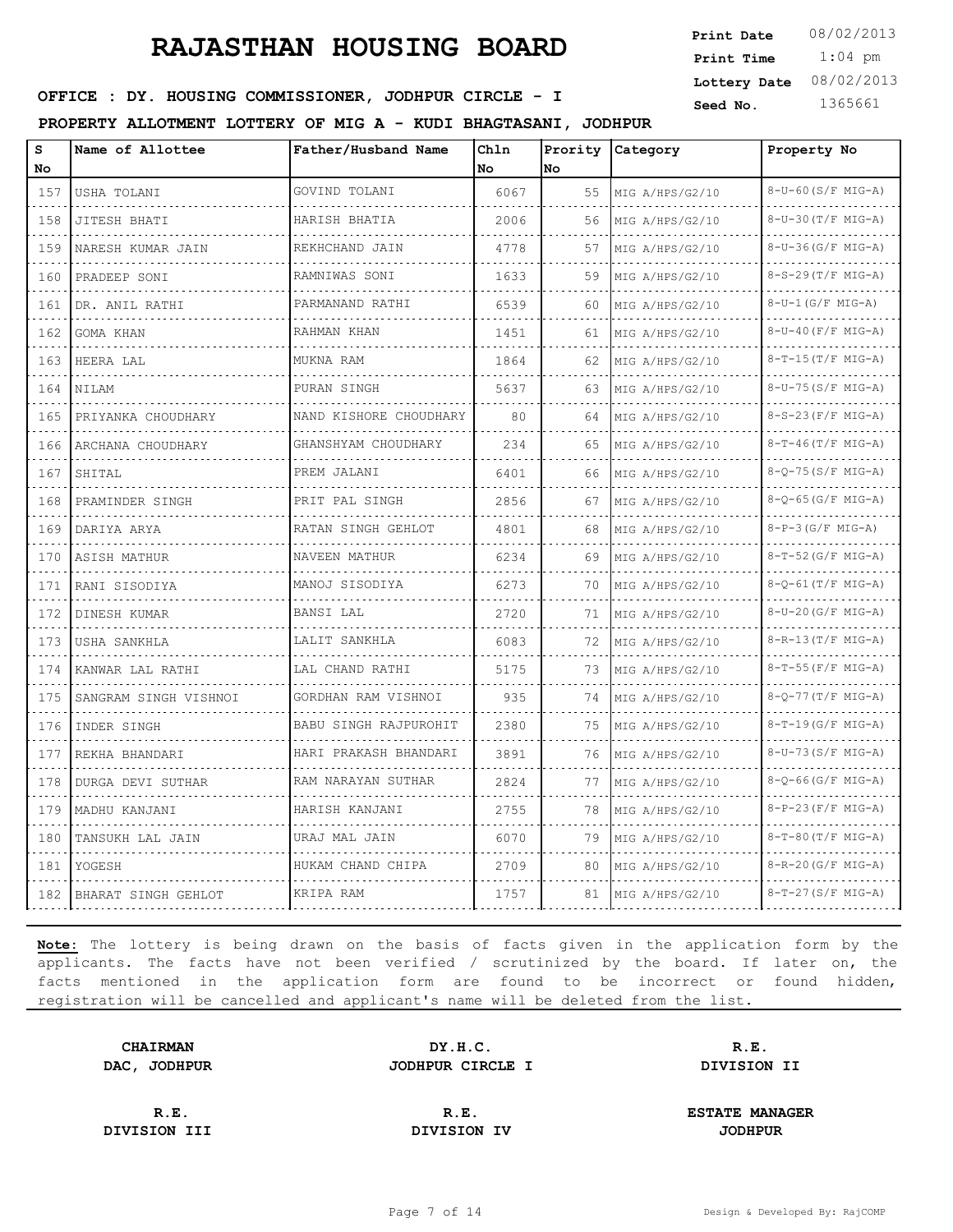1:04 pm **Print Date**  $08/02/2013$ **Print Time Lottery Date** 08/02/2013

# **SEED : DY. HOUSING COMMISSIONER, JODHPUR CIRCLE - I** Seed No. 1365661

**PROPERTY ALLOTMENT LOTTERY OF MIG A - KUDI BHAGTASANI, JODHPUR**

| S                | Name of Allottee      | Father/Husband Name        | Ch1n |     | Prority Category | Property No              |
|------------------|-----------------------|----------------------------|------|-----|------------------|--------------------------|
| No               |                       |                            | No   | No. |                  |                          |
| 157              | USHA TOLANI           | GOVIND TOLANI              | 6067 | 55  | MIG A/HPS/G2/10  | $8-U-60(S/F MIG-A)$      |
| 158              | JITESH BHATI          | HARISH BHATIA              | 2006 | 56  | MIG A/HPS/G2/10  | $8-U-30(T/F MIG-A)$      |
| 159              | NARESH KUMAR JAIN     | REKHCHAND JAIN             | 4778 | 57  | MIG A/HPS/G2/10  | $8-U-36(G/F MIG-A)$      |
| 160<br>.         | PRADEEP SONI          | RAMNIWAS SONI              | 1633 | 59  | MIG A/HPS/G2/10  | $8-S-29(T/F MIG-A)$      |
| 161              | DR. ANIL RATHI        | PARMANAND RATHI            | 6539 | 60  | MIG A/HPS/G2/10  | $8-U-1(G/F MIG-A)$       |
| 162              | GOMA KHAN             | RAHMAN KHAN                | 1451 | 61  | MIG A/HPS/G2/10  | $8-U-40(F/F MIG-A)$      |
| 163<br>.         | HEERA LAL             | MUKNA RAM                  | 1864 | 62  | MIG A/HPS/G2/10  | $8-T-15(T/F MIG-A)$      |
| 164              | NILAM                 | PURAN SINGH                | 5637 | 63  | MIG A/HPS/G2/10  | 8-U-75(S/F MIG-A)        |
| 165              | PRIYANKA CHOUDHARY    | NAND KISHORE CHOUDHARY     | 80   | 64  | MIG A/HPS/G2/10  | $8-S-23(F/F MIG-A)$      |
| 166              | ARCHANA CHOUDHARY     | GHANSHYAM CHOUDHARY        | 234  | 65  | MIG A/HPS/G2/10  | $8-T-46(T/F MIG-A)$      |
| 167              | SHITAL                | PREM JALANI                | 6401 | 66  | MIG A/HPS/G2/10  | 8-Q-75(S/F MIG-A)        |
| 168              | PRAMINDER SINGH       | PRIT PAL SINGH             | 2856 | 67  | MIG A/HPS/G2/10  | 8-0-65 (G/F MIG-A)       |
| 169<br>.         | DARIYA ARYA           | RATAN SINGH GEHLOT<br>.    | 4801 | 68  | MIG A/HPS/G2/10  | $8-P-3(G/F MIG-A)$       |
| 170              | <b>ASISH MATHUR</b>   | NAVEEN MATHUR              | 6234 | 69  | MIG A/HPS/G2/10  | 8-T-52 (G/F MIG-A)       |
| 171              | RANI SISODIYA         | MANOJ SISODIYA             | 6273 | 70  | MIG A/HPS/G2/10  | $8 - 0 - 61$ (T/F MIG-A) |
| .<br>172<br>.    | DINESH KUMAR          | BANSI LAL                  | 2720 | 71  | MIG A/HPS/G2/10  | $8-U-20(G/F MIG-A)$      |
| 173              | USHA SANKHLA          | LALIT SANKHLA              | 6083 | 72  | MIG A/HPS/G2/10  | $8 - R - 13(T/F MIG-A)$  |
| 174              | KANWAR LAL RATHI      | LAL CHAND RATHI            | 5175 | 73  | MIG A/HPS/G2/10  | $8-T-55$ (F/F MIG-A)     |
| 175              | SANGRAM SINGH VISHNOI | GORDHAN RAM VISHNOI        | 935  | 74  | MIG A/HPS/G2/10  | 8-Q-77 (T/F MIG-A)       |
| 176              | INDER SINGH           | BABU SINGH RAJPUROHIT      | 2380 | 75  | MIG A/HPS/G2/10  | $8-T-19(G/F MIG-A)$      |
| $- - - -$<br>177 | REKHA BHANDARI        | HARI PRAKASH BHANDARI<br>. | 3891 | 76  | MIG A/HPS/G2/10  | 8-U-73(S/F MIG-A)        |
| 178              | DURGA DEVI SUTHAR     | RAM NARAYAN SUTHAR         | 2824 | 77  | MIG A/HPS/G2/10  | $8-Q-66(G/F MIG-A)$      |
| 179              | MADHU KANJANI         | HARISH KANJANI             | 2755 | 78  | MIG A/HPS/G2/10  | $8 - P - 23 (F/F MIG-A)$ |
| 180              | TANSUKH LAL JAIN      | URAJ MAL JAIN              | 6070 | 79  | MIG A/HPS/G2/10  | $8-T-80(T/F MIG-A)$      |
| 181              | YOGESH                | HUKAM CHAND CHIPA          | 2709 | 80  | MIG A/HPS/G2/10  | $8 - R - 20$ (G/F MIG-A) |
| 182              | BHARAT SINGH GEHLOT   | KRIPA RAM                  | 1757 | 81  | MIG A/HPS/G2/10  | $8-T-27(S/F MIG-A)$      |

**Note:** The lottery is being drawn on the basis of facts given in the application form by the applicants. The facts have not been verified / scrutinized by the board. If later on, the facts mentioned in the application form are found to be incorrect or found hidden, registration will be cancelled and applicant's name will be deleted from the list.

**CHAIRMAN DY.H.C. R.E. DAC, JODHPUR JODHPUR CIRCLE I DIVISION II**

**DIVISION III DIVISION IV JODHPUR**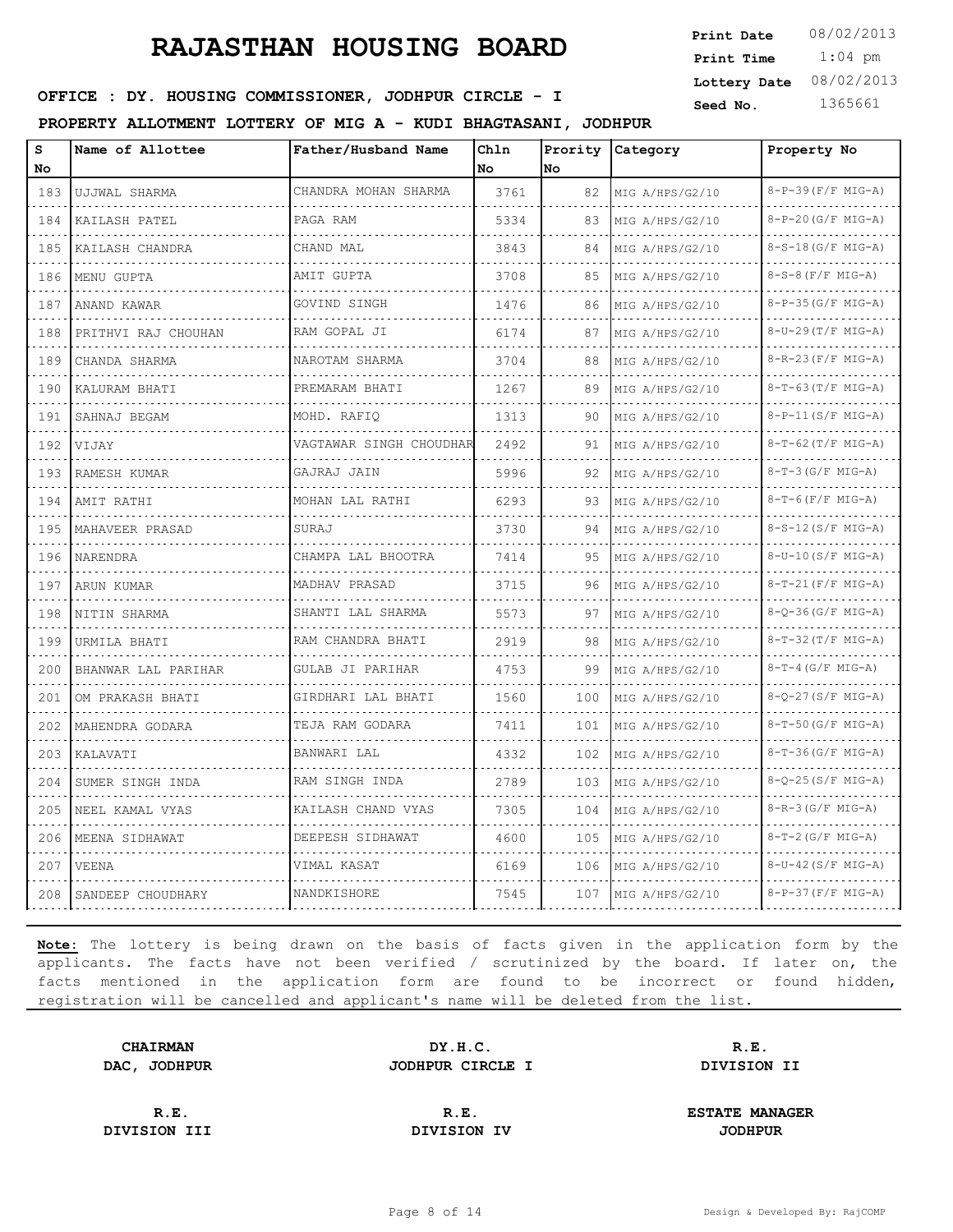1:04 pm **Print Date**  $08/02/2013$ **Print Time Lottery Date** 08/02/2013

# **SEED : DY. HOUSING COMMISSIONER, JODHPUR CIRCLE - I** Seed No. 1365661

**PROPERTY ALLOTMENT LOTTERY OF MIG A - KUDI BHAGTASANI, JODHPUR**

| S        | Name of Allottee    | Father/Husband Name     | Chln |      | Prority Category | Property No              |
|----------|---------------------|-------------------------|------|------|------------------|--------------------------|
| No       |                     |                         | No   | lNo. |                  |                          |
| 183      | UJJWAL SHARMA       | CHANDRA MOHAN SHARMA    | 3761 | 82   | MIG A/HPS/G2/10  | $8-P-39(F/F MIG-A)$      |
| 184      | KAILASH PATEL       | PAGA RAM                | 5334 | 83   | MIG A/HPS/G2/10  | $8-P-20(G/F MIG-A)$      |
| 185      | KAILASH CHANDRA     | CHAND MAL               | 3843 | 84   | MIG A/HPS/G2/10  | $8-S-18(G/F MIG-A)$      |
| 186      | MENU GUPTA          | AMIT GUPTA              | 3708 | 85   | MIG A/HPS/G2/10  | $8-S-8$ (F/F MIG-A)      |
| 187      | ANAND KAWAR         | GOVIND SINGH            | 1476 | 86   | MIG A/HPS/G2/10  | $8-P-35(G/F MIG-A)$      |
| 188      | PRITHVI RAJ CHOUHAN | RAM GOPAL JI            | 6174 | 87   | MIG A/HPS/G2/10  | $8-U-29(T/F MIG-A)$      |
| 189<br>. | CHANDA SHARMA       | NAROTAM SHARMA          | 3704 | 88   | MIG A/HPS/G2/10  | $8 - R - 23 (F/F MIG-A)$ |
| 190      | KALURAM BHATI       | PREMARAM BHATI          | 1267 | 89   | MIG A/HPS/G2/10  | $8-T-63(T/F MIG-A)$      |
| 191      | SAHNAJ BEGAM        | MOHD. RAFIQ             | 1313 | 90   | MIG A/HPS/G2/10  | $8 - P - 11(S/F MIG-A)$  |
| 192<br>. | VIJAY               | VAGTAWAR SINGH CHOUDHAR | 2492 | 91   | MIG A/HPS/G2/10  | $8-T-62(T/F MIG-A)$      |
| 193      | RAMESH KUMAR        | GAJRAJ JAIN             | 5996 | 92   | MIG A/HPS/G2/10  | $8-T-3(G/F MIG-A)$       |
| 194      | AMIT RATHI          | MOHAN LAL RATHI         | 6293 | 93   | MIG A/HPS/G2/10  | $8-T-6(F/F MIG-A)$       |
| 195<br>. | MAHAVEER PRASAD     | SURAJ                   | 3730 | 94   | MIG A/HPS/G2/10  | $8-S-12(S/F MIG-A)$      |
| 196      | NARENDRA            | CHAMPA LAL BHOOTRA      | 7414 | 95   | MIG A/HPS/G2/10  | 8-U-10 (S/F MIG-A)       |
| 197      | ARUN KUMAR          | MADHAV PRASAD           | 3715 | 96   | MIG A/HPS/G2/10  | $8-T-21$ (F/F MIG-A)     |
| 198<br>. | NITIN SHARMA        | SHANTI LAL SHARMA       | 5573 | 97   | MIG A/HPS/G2/10  | $8-Q-36(G/F MIG-A)$      |
| 199      | URMILA BHATI        | RAM CHANDRA BHATI       | 2919 | 98   | MIG A/HPS/G2/10  | $8-T-32(T/F MIG-A)$      |
| 200      | BHANWAR LAL PARIHAR | GULAB JI PARIHAR        | 4753 | 99   | MIG A/HPS/G2/10  | $8-T-4$ (G/F MIG-A)      |
| 201      | OM PRAKASH BHATI    | GIRDHARI LAL BHATI      | 1560 | 100  | MIG A/HPS/G2/10  | $8-Q-27(S/F MIG-A)$      |
| 202      | MAHENDRA GODARA     | TEJA RAM GODARA         | 7411 | 101  | MIG A/HPS/G2/10  | $8-T-50(G/F MIG-A)$      |
| 203      | KALAVATI            | BANWARI LAL             | 4332 | 102  | MIG A/HPS/G2/10  | $8-T-36(G/F MIG-A)$      |
| 204      | SUMER SINGH INDA    | RAM SINGH INDA          | 2789 | 103  | MIG A/HPS/G2/10  | 8-Q-25(S/F MIG-A)        |
| 205      | NEEL KAMAL VYAS     | KAILASH CHAND VYAS      | 7305 | 104  | MIG A/HPS/G2/10  | $8 - R - 3$ (G/F MIG-A)  |
| 206      | MEENA SIDHAWAT      | DEEPESH SIDHAWAT        | 4600 | 105  | MIG A/HPS/G2/10  | $8-T-2(G/F MIG-A)$       |
| 207      | VEENA               | VIMAL KASAT             | 6169 | 106  | MIG A/HPS/G2/10  | $8-U-42(S/F MIG-A)$      |
| 208      | SANDEEP CHOUDHARY   | NANDKISHORE             | 7545 | 107  | MIG A/HPS/G2/10  | $8 - P - 37(F/F MIG-A)$  |

**Note:** The lottery is being drawn on the basis of facts given in the application form by the applicants. The facts have not been verified / scrutinized by the board. If later on, the facts mentioned in the application form are found to be incorrect or found hidden, registration will be cancelled and applicant's name will be deleted from the list.

**CHAIRMAN DY.H.C. R.E. DAC, JODHPUR JODHPUR CIRCLE I DIVISION II**

**DIVISION III DIVISION IV JODHPUR**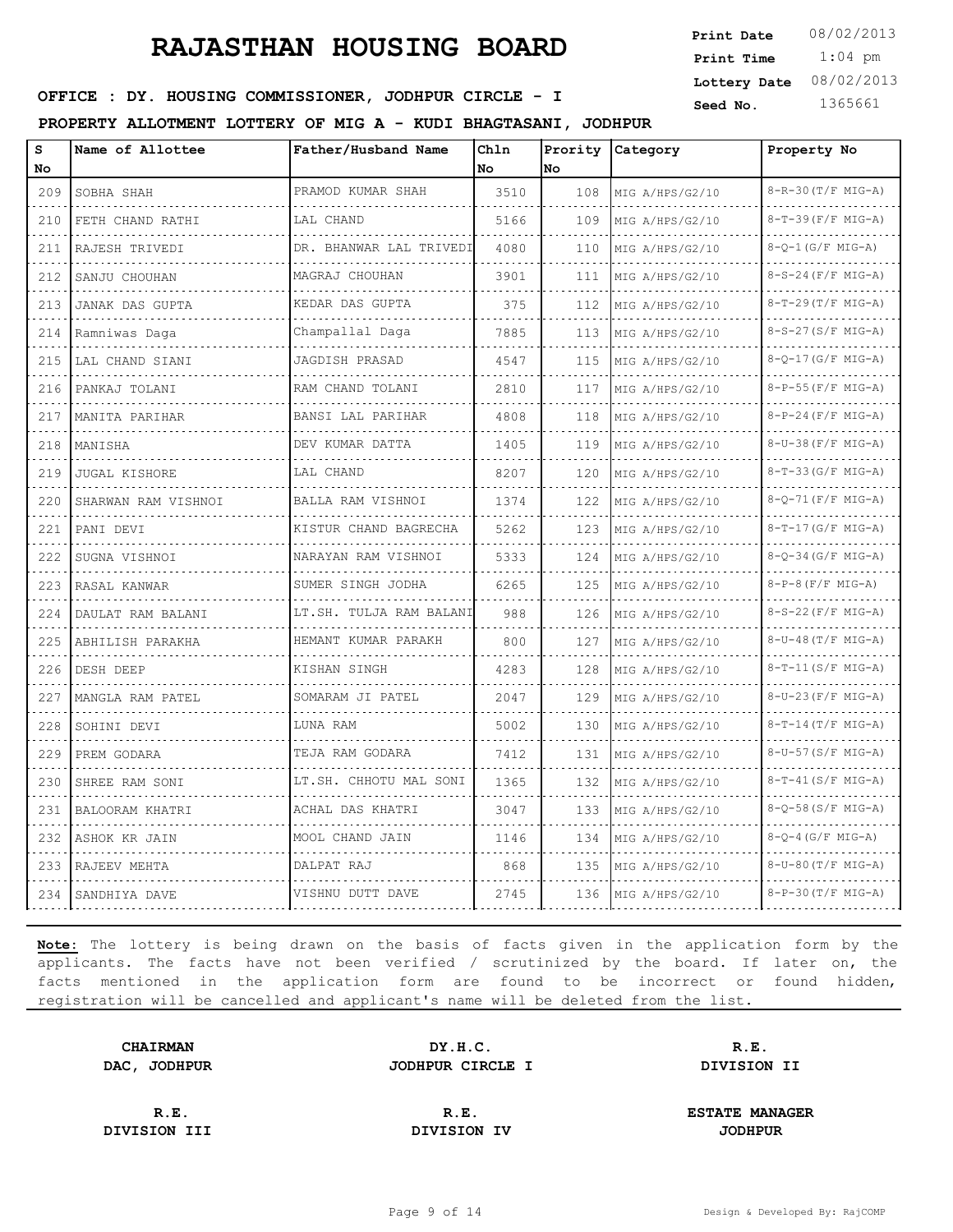1:04 pm **Print Date**  $08/02/2013$ **Print Time Lottery Date** 08/02/2013

# **SEED INC. HOUSING COMMISSIONER, JODHPUR CIRCLE - I** Seed No. 1365661

**PROPERTY ALLOTMENT LOTTERY OF MIG A - KUDI BHAGTASANI, JODHPUR**

| S                     | Name of Allottee    | Father/Husband Name     | Ch1n |     | Prority Category | Property No               |
|-----------------------|---------------------|-------------------------|------|-----|------------------|---------------------------|
| No                    |                     |                         | No   | No  |                  |                           |
| 209                   | SOBHA SHAH          | PRAMOD KUMAR SHAH       | 3510 | 108 | MIG A/HPS/G2/10  | 8-R-30 (T/F MIG-A)        |
| 210                   | FETH CHAND RATHI    | LAL CHAND               | 5166 | 109 | MIG A/HPS/G2/10  | $8-T-39(F/F MIG-A)$       |
| 211                   | RAJESH TRIVEDI      | DR. BHANWAR LAL TRIVEDI | 4080 | 110 | MIG A/HPS/G2/10  | $8-Q-1$ (G/F MIG-A)       |
| 212<br>.              | SANJU CHOUHAN       | MAGRAJ CHOUHAN<br>.     | 3901 | 111 | MIG A/HPS/G2/10  | $8-S-24$ (F/F MIG-A)      |
| 213                   | JANAK DAS GUPTA     | KEDAR DAS GUPTA         | 375  | 112 | MIG A/HPS/G2/10  | 8-T-29(T/F MIG-A)         |
| 214                   | Ramniwas Daga       | Champallal Daga         | 7885 | 113 | MIG A/HPS/G2/10  | $8-S-27(S/F MIG-A)$       |
| 215                   | LAL CHAND SIANI     | JAGDISH PRASAD          | 4547 | 115 | MIG A/HPS/G2/10  | $8 - 0 - 17(G/F MIG-A)$   |
| الفراعي المراد<br>216 | PANKAJ TOLANI       | RAM CHAND TOLANI        | 2810 | 117 | MIG A/HPS/G2/10  | $8-P-55(F/F MIG-A)$       |
| 217                   | MANITA PARIHAR      | BANSI LAL PARIHAR       | 4808 | 118 | MIG A/HPS/G2/10  | $8-P-24(F/F MIG-A)$       |
| 218                   | MANISHA             | DEV KUMAR DATTA         | 1405 | 119 | MIG A/HPS/G2/10  | 8-U-38 (F/F MIG-A)        |
| 219                   | JUGAL KISHORE       | LAL CHAND               | 8207 | 120 | MIG A/HPS/G2/10  | 8-T-33 (G/F MIG-A)        |
| 220                   | SHARWAN RAM VISHNOI | BALLA RAM VISHNOI       | 1374 | 122 | MIG A/HPS/G2/10  | $8 - 0 - 71$ (F/F MIG-A)  |
| 221<br>.              | PANI DEVI           | KISTUR CHAND BAGRECHA   | 5262 | 123 | MIG A/HPS/G2/10  | $8-T-17(G/F MIG-A)$       |
| 222                   | SUGNA VISHNOI       | NARAYAN RAM VISHNOI     | 5333 | 124 | MIG A/HPS/G2/10  | 8-Q-34 (G/F MIG-A)        |
| 223                   | RASAL KANWAR        | SUMER SINGH JODHA       | 6265 | 125 | MIG A/HPS/G2/10  | $8-P-8(F/F MIG-A)$        |
| 224<br>a a a          | DAULAT RAM BALANI   | LT.SH. TULJA RAM BALANI | 988  | 126 | MIG A/HPS/G2/10  | $8-S-22(F/F MIG-A)$       |
| 225                   | ABHILISH PARAKHA    | HEMANT KUMAR PARAKH     | 800  | 127 | MIG A/HPS/G2/10  | $8-U-48(T/F MIG-A)$       |
| 226                   | DESH DEEP           | KISHAN SINGH            | 4283 | 128 | MIG A/HPS/G2/10  | 8-T-11(S/F MIG-A)         |
| 227                   | MANGLA RAM PATEL    | SOMARAM JI PATEL        | 2047 | 129 | MIG A/HPS/G2/10  | $8-U-23(F/F MIG-A)$       |
| 228                   | SOHINI DEVI         | LUNA RAM                | 5002 | 130 | MIG A/HPS/G2/10  | $8-T-14(T/F MIG-A)$       |
| 229                   | PREM GODARA         | TEJA RAM GODARA         | 7412 | 131 | MIG A/HPS/G2/10  | 8-U-57(S/F MIG-A)         |
| 230                   | SHREE RAM SONI      | LT.SH. CHHOTU MAL SONI  | 1365 | 132 | MIG A/HPS/G2/10  | $8-T-41(S/F MIG-A)$       |
| 231                   | BALOORAM KHATRI     | ACHAL DAS KHATRI        | 3047 | 133 | MIG A/HPS/G2/10  | $8 - 0 - 58(S/F MIG-A)$   |
| 232                   | ASHOK KR JAIN       | MOOL CHAND JAIN         | 1146 | 134 | MIG A/HPS/G2/10  | $8-Q-4$ (G/F MIG-A)       |
| 233                   | RAJEEV MEHTA        | DALPAT RAJ              | 868  | 135 | MIG A/HPS/G2/10  | $8-U-80(T/F MIG-A)$       |
| 234                   | SANDHIYA DAVE       | VISHNU DUTT DAVE        | 2745 | 136 | MIG A/HPS/G2/10  | $8 - P - 30(T/F MIG - A)$ |

**Note:** The lottery is being drawn on the basis of facts given in the application form by the applicants. The facts have not been verified / scrutinized by the board. If later on, the facts mentioned in the application form are found to be incorrect or found hidden, registration will be cancelled and applicant's name will be deleted from the list.

**CHAIRMAN DY.H.C. R.E. DAC, JODHPUR JODHPUR CIRCLE I DIVISION II**

**DIVISION III DIVISION IV JODHPUR**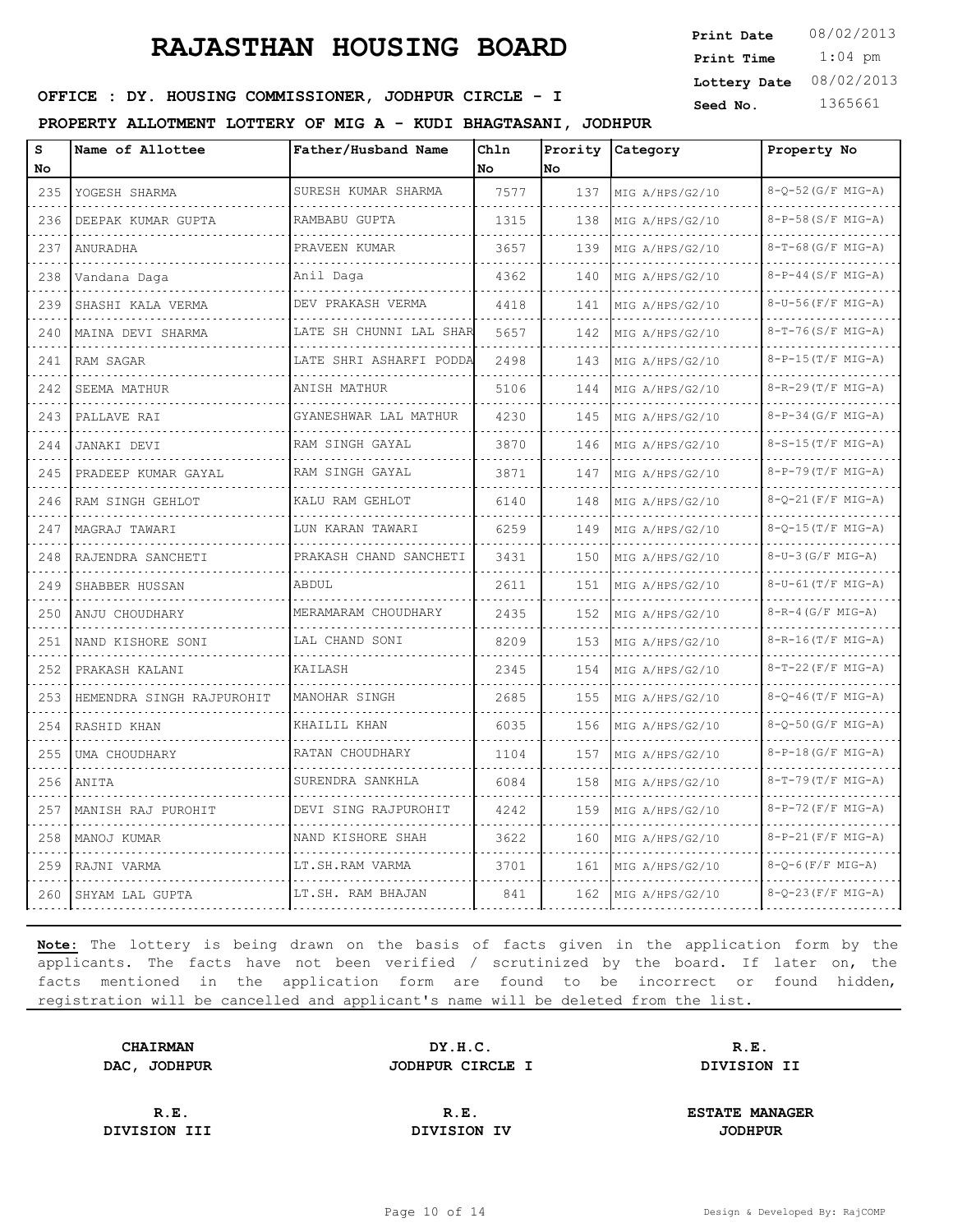1:04 pm **Print Date**  $08/02/2013$ **Print Time Lottery Date** 08/02/2013

# **SEED INC. HOUSING COMMISSIONER, JODHPUR CIRCLE - I** Seed No. 1365661

**PROPERTY ALLOTMENT LOTTERY OF MIG A - KUDI BHAGTASANI, JODHPUR**

| S                           | Name of Allottee          | Father/Husband Name     | Ch1n |     | Prority Category | Property No              |
|-----------------------------|---------------------------|-------------------------|------|-----|------------------|--------------------------|
| No                          |                           |                         | No   | No. |                  |                          |
| 235                         | YOGESH SHARMA             | SURESH KUMAR SHARMA     | 7577 | 137 | MIG A/HPS/G2/10  | 8-Q-52 (G/F MIG-A)       |
| 236                         | DEEPAK KUMAR GUPTA        | RAMBABU GUPTA           | 1315 | 138 | MIG A/HPS/G2/10  | $8-P-58(S/F MIG-A)$      |
| 237                         | ANURADHA                  | PRAVEEN KUMAR           | 3657 | 139 | MIG A/HPS/G2/10  | $8-T-68(G/F MIG-A)$      |
| 238                         | Vandana Daga              | Anil Daga               | 4362 | 140 | MIG A/HPS/G2/10  | $8-P-44(S/F MIG-A)$      |
| 239                         | SHASHI KALA VERMA         | DEV PRAKASH VERMA       | 4418 | 141 | MIG A/HPS/G2/10  | $8-U-56(F/F MIG-A)$      |
| 240                         | MAINA DEVI SHARMA         | LATE SH CHUNNI LAL SHAR | 5657 | 142 | MIG A/HPS/G2/10  | $8-T-76(S/F MIG-A)$      |
| 241<br>$\sim$ $\sim$ $\sim$ | RAM SAGAR                 | LATE SHRI ASHARFI PODDA | 2498 | 143 | MIG A/HPS/G2/10  | $8-P-15(T/F MIG-A)$      |
| 242                         | SEEMA MATHUR              | ANISH MATHUR            | 5106 | 144 | MIG A/HPS/G2/10  | 8-R-29(T/F MIG-A)        |
| 243                         | PALLAVE RAI               | GYANESHWAR LAL MATHUR   | 4230 | 145 | MIG A/HPS/G2/10  | $8-P-34(G/F MIG-A)$      |
| 244                         | JANAKI DEVI               | RAM SINGH GAYAL         | 3870 | 146 | MIG A/HPS/G2/10  | $8-S-15(T/F MIG-A)$      |
| $\sim$ $\sim$ $\sim$<br>245 | PRADEEP KUMAR GAYAL       | RAM SINGH GAYAL         | 3871 | 147 | MIG A/HPS/G2/10  | $8-P-79(T/F MIG-A)$      |
| 246                         | RAM SINGH GEHLOT          | KALU RAM GEHLOT         | 6140 | 148 | MIG A/HPS/G2/10  | $8 - 0 - 21$ (F/F MIG-A) |
| 247<br>.                    | MAGRAJ TAWARI             | LUN KARAN TAWARI        | 6259 | 149 | MIG A/HPS/G2/10  | $8-Q-15(T/F MIG-A)$      |
| 248                         | RAJENDRA SANCHETI         | PRAKASH CHAND SANCHETI  | 3431 | 150 | MIG A/HPS/G2/10  | $8-U-3(G/F MIG-A)$       |
| 249                         | SHABBER HUSSAN            | <b>ABDUL</b>            | 2611 | 151 | MIG A/HPS/G2/10  | $8-U-61(T/F MIG-A)$      |
| 250<br>.                    | ANJU CHOUDHARY            | MERAMARAM CHOUDHARY     | 2435 | 152 | MIG A/HPS/G2/10  | $8 - R - 4$ (G/F MIG-A)  |
| 251                         | NAND KISHORE SONI         | LAL CHAND SONI          | 8209 | 153 | MIG A/HPS/G2/10  | $8 - R - 16(T/F MIG-A)$  |
| 252                         | PRAKASH KALANI            | KAILASH                 | 2345 | 154 | MIG A/HPS/G2/10  | 8-T-22 (F/F MIG-A)       |
| 253                         | HEMENDRA SINGH RAJPUROHIT | MANOHAR SINGH           | 2685 | 155 | MIG A/HPS/G2/10  | $8-Q-46(T/F MIG-A)$      |
| 254                         | RASHID KHAN               | KHAILIL KHAN            | 6035 | 156 | MIG A/HPS/G2/10  | 8-0-50 (G/F MIG-A)       |
| 255                         | UMA CHOUDHARY             | RATAN CHOUDHARY         | 1104 | 157 | MIG A/HPS/G2/10  | 8-P-18 (G/F MIG-A)       |
| 256                         | ANITA                     | SURENDRA SANKHLA        | 6084 | 158 | MIG A/HPS/G2/10  | $8-T-79(T/F MIG-A)$      |
| 257                         | MANISH RAJ PUROHIT        | DEVI SING RAJPUROHIT    | 4242 | 159 | MIG A/HPS/G2/10  | $8-P-72(F/F MIG-A)$      |
| 258                         | MANOJ KUMAR               | NAND KISHORE SHAH       | 3622 | 160 | MIG A/HPS/G2/10  | 8-P-21 (F/F MIG-A)       |
| 259                         | RAJNI VARMA               | LT.SH.RAM VARMA         | 3701 | 161 | MIG A/HPS/G2/10  | $8-Q-6(F/F MIG-A)$       |
| 260                         | SHYAM LAL GUPTA           | LT.SH. RAM BHAJAN       | 841  | 162 | MIG A/HPS/G2/10  | $8-Q-23(F/F MIG-A)$      |

**Note:** The lottery is being drawn on the basis of facts given in the application form by the applicants. The facts have not been verified / scrutinized by the board. If later on, the facts mentioned in the application form are found to be incorrect or found hidden, registration will be cancelled and applicant's name will be deleted from the list.

**CHAIRMAN DY.H.C. R.E. DAC, JODHPUR JODHPUR CIRCLE I DIVISION II**

**DIVISION III DIVISION IV JODHPUR**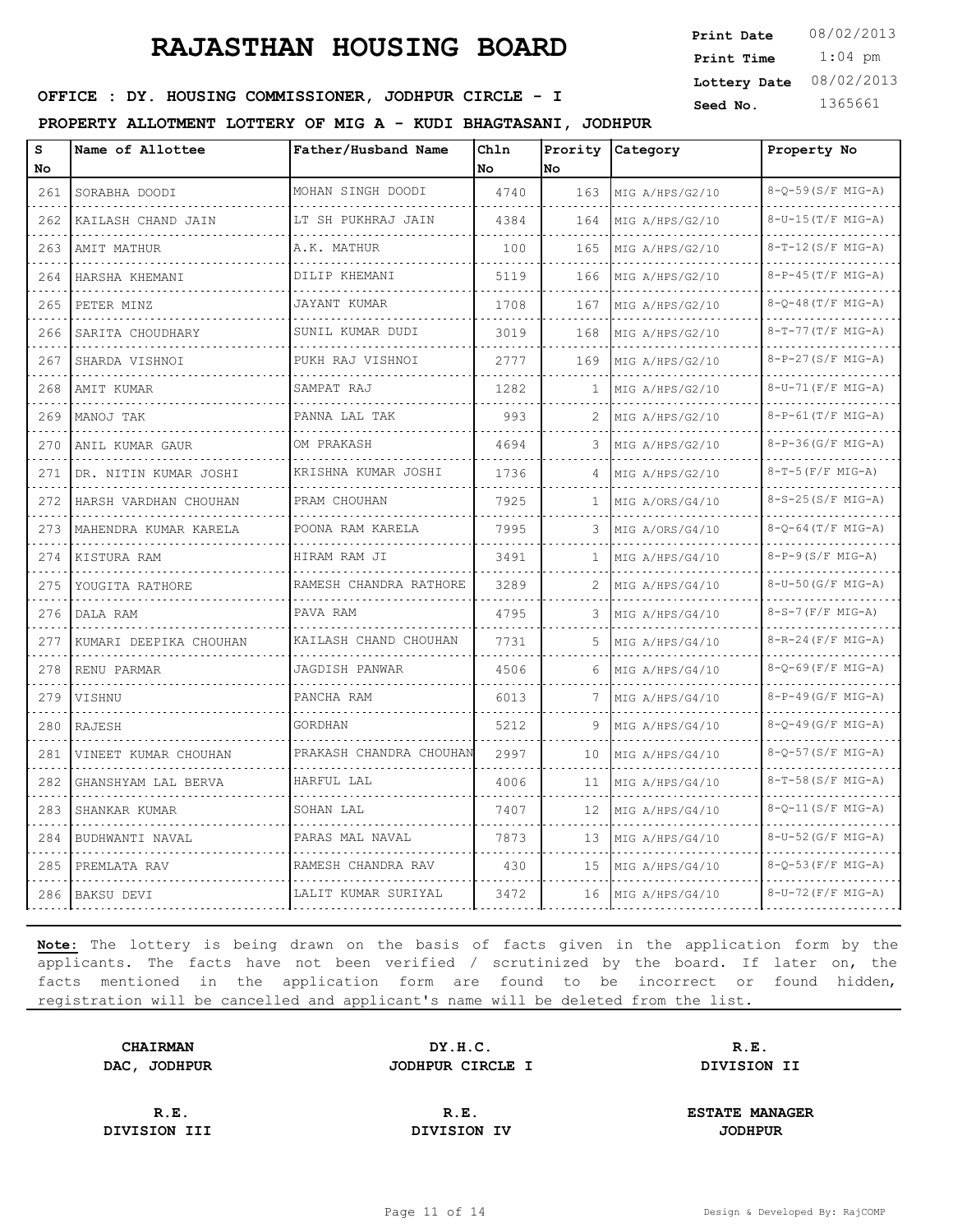1:04 pm **Print Date**  $08/02/2013$ **Print Time Lottery Date** 08/02/2013

# **SEED INC. HOUSING COMMISSIONER, JODHPUR CIRCLE - I** Seed No. 1365661

**PROPERTY ALLOTMENT LOTTERY OF MIG A - KUDI BHAGTASANI, JODHPUR**

| s<br>No | Name of Allottee       | Father/Husband Name     | Chln<br>No | No. | Prority Category | Property No              |
|---------|------------------------|-------------------------|------------|-----|------------------|--------------------------|
| 261     | SORABHA DOODI          | MOHAN SINGH DOODI       | 4740       | 163 | MIG A/HPS/G2/10  | $8-Q-59(S/F MIG-A)$      |
| 262     | KAILASH CHAND JAIN     | LT SH PUKHRAJ JAIN      | 4384       | 164 | MIG A/HPS/G2/10  | $8-U-15(T/F MIG-A)$      |
| 263     | AMIT MATHUR            | A.K. MATHUR             | 100        | 165 | MIG A/HPS/G2/10  | $8-T-12(S/F MIG-A)$      |
| 264     | HARSHA KHEMANI         | DILIP KHEMANI           | 5119       | 166 | MIG A/HPS/G2/10  | $8 - P - 45(T/F MIG-A)$  |
| 265     | PETER MINZ             | JAYANT KUMAR            | 1708       | 167 | MIG A/HPS/G2/10  | $8 - 0 - 48(T/F MIG-A)$  |
| 266     | SARITA CHOUDHARY       | SUNIL KUMAR DUDI        | 3019       | 168 | MIG A/HPS/G2/10  | $8-T-77(T/F MIG-A)$      |
| 267     | SHARDA VISHNOI         | PUKH RAJ VISHNOI        | 2777       | 169 | MIG A/HPS/G2/10  | $8-P-27(S/F MIG-A)$      |
| 268     | AMIT KUMAR             | SAMPAT RAJ              | 1282       | 1   | MIG A/HPS/G2/10  | $8-U-71(F/F MIG-A)$      |
| 269     | MANOJ TAK              | PANNA LAL TAK           | 993        | 2   | MIG A/HPS/G2/10  | $8-P-61(T/F MIG-A)$      |
| 270     | ANIL KUMAR GAUR        | OM PRAKASH              | 4694       | 3   | MIG A/HPS/G2/10  | $8-P-36(G/F MIG-A)$      |
| 271     | DR. NITIN KUMAR JOSHI  | KRISHNA KUMAR JOSHI     | 1736       | 4   | MIG A/HPS/G2/10  | $8-T-5(F/F MIG-A)$       |
| 272     | HARSH VARDHAN CHOUHAN  | PRAM CHOUHAN            | 7925       | -1  | MIG A/ORS/G4/10  | $8-S-25(S/F MIG-A)$      |
| 273     | MAHENDRA KUMAR KARELA  | POONA RAM KARELA        | 7995       | 3   | MIG A/ORS/G4/10  | $8-Q-64$ (T/F MIG-A)     |
| 274     | KISTURA RAM            | HIRAM RAM JI            | 3491       | 1   | MIG A/HPS/G4/10  | $8-P-9(S/F MIG-A)$       |
| 275     | YOUGITA RATHORE        | RAMESH CHANDRA RATHORE  | 3289       | 2   | MIG A/HPS/G4/10  | 8-U-50 (G/F MIG-A)       |
| 276     | DALA RAM               | PAVA RAM                | 4795       | 3   | MIG A/HPS/G4/10  | $8-S-7$ (F/F MIG-A)      |
| 277     | KUMARI DEEPIKA CHOUHAN | KAILASH CHAND CHOUHAN   | 7731       | 5   | MIG A/HPS/G4/10  | $8 - R - 24$ (F/F MIG-A) |
| 278     | RENU PARMAR            | JAGDISH PANWAR          | 4506       | 6   | MIG A/HPS/G4/10  | $8-Q-69$ (F/F MIG-A)     |
| 279     | VISHNU                 | PANCHA RAM              | 6013       |     | MIG A/HPS/G4/10  | $8-P-49(G/F MIG-A)$      |
| 280     | RAJESH                 | <b>GORDHAN</b>          | 5212       | 9   | MIG A/HPS/G4/10  | $8-Q-49(G/F MIG-A)$      |
| 281     | VINEET KUMAR CHOUHAN   | PRAKASH CHANDRA CHOUHAN | 2997       | 10  | MIG A/HPS/G4/10  | $8-Q-57(S/F MIG-A)$      |
| 282     | GHANSHYAM LAL BERVA    | HARFUL LAL              | 4006       | 11  | MIG A/HPS/G4/10  | $8-T-58(S/F MIG-A)$      |
| 283     | SHANKAR KUMAR          | SOHAN LAL               | 7407       | 12  | MIG A/HPS/G4/10  | $8 - 0 - 11(S/F MIG-A)$  |
| 284     | BUDHWANTI NAVAL        | PARAS MAL NAVAL<br>.    | 7873       | 13  | MIG A/HPS/G4/10  | 8-U-52 (G/F MIG-A)       |
| 285     | PREMLATA RAV           | RAMESH CHANDRA RAV      | 430        | 15  | MIG A/HPS/G4/10  | $8-Q-53(F/F MIG-A)$      |
| 286     | BAKSU DEVI             | LALIT KUMAR SURIYAL     | 3472       | 16  | MIG A/HPS/G4/10  | $8-U-72(F/F MIG-A)$      |

**Note:** The lottery is being drawn on the basis of facts given in the application form by the applicants. The facts have not been verified / scrutinized by the board. If later on, the facts mentioned in the application form are found to be incorrect or found hidden, registration will be cancelled and applicant's name will be deleted from the list.

**CHAIRMAN DY.H.C. R.E. DAC, JODHPUR JODHPUR CIRCLE I DIVISION II**

**DIVISION III DIVISION IV JODHPUR**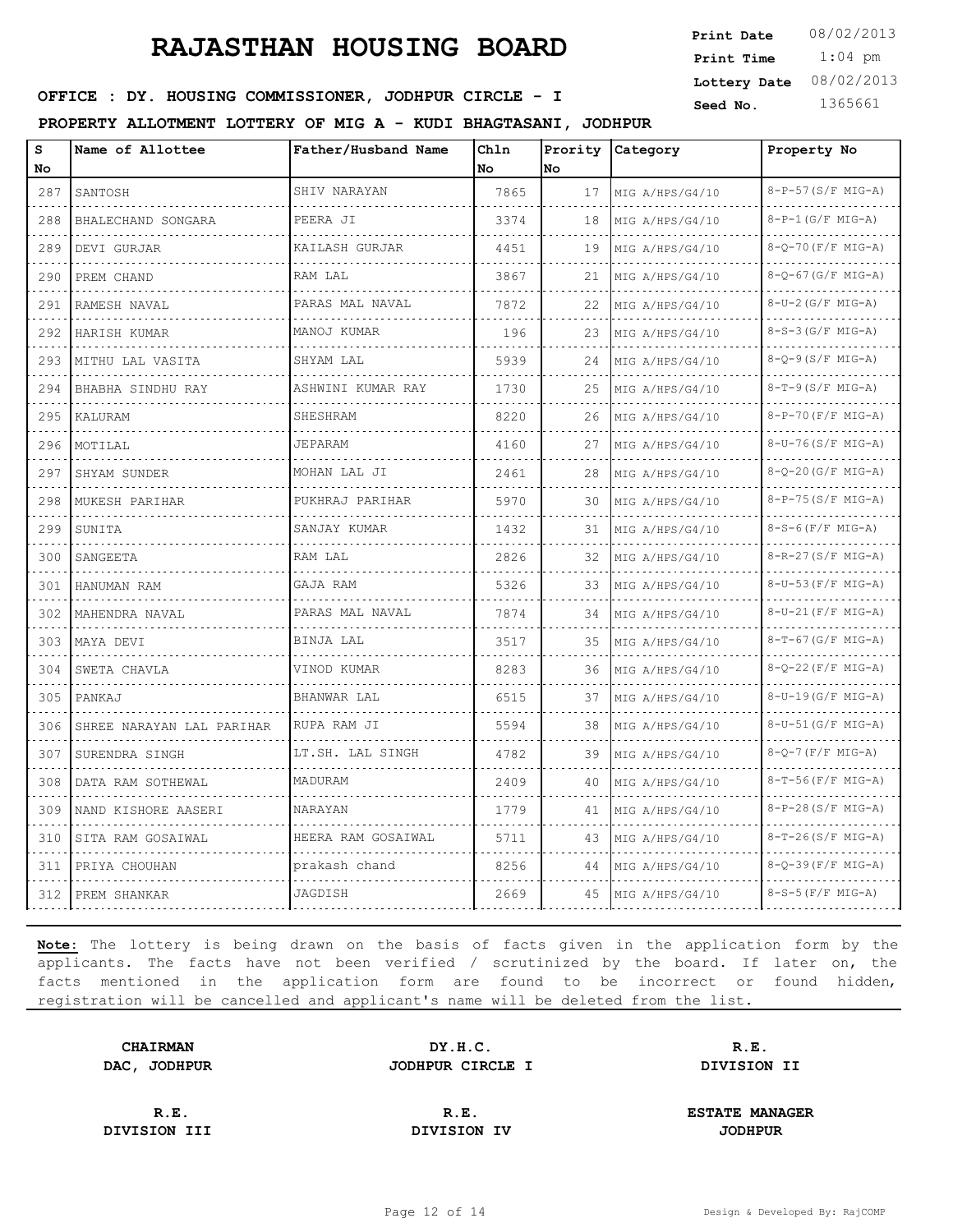1:04 pm **Print Date**  $08/02/2013$ **Print Time Lottery Date** 08/02/2013

# **SEED INC. HOUSING COMMISSIONER, JODHPUR CIRCLE - I** Seed No. 1365661

**PROPERTY ALLOTMENT LOTTERY OF MIG A - KUDI BHAGTASANI, JODHPUR**

| s        | Name of Allottee          | Father/Husband Name | Chln |    | Prority Category | Property No               |
|----------|---------------------------|---------------------|------|----|------------------|---------------------------|
| No       |                           |                     | No   | No |                  |                           |
| 287      | SANTOSH                   | SHIV NARAYAN        | 7865 | 17 | MIG A/HPS/G4/10  | $8-P-57(S/F MIG-A)$       |
| 288      | BHALECHAND SONGARA        | PEERA JI            | 3374 | 18 | MIG A/HPS/G4/10  | $8-P-1$ (G/F MIG-A)       |
| 289      | DEVI GURJAR               | KAILASH GURJAR      | 4451 | 19 | MIG A/HPS/G4/10  | $8 - 0 - 70(F)$ MIG-A)    |
| 290      | PREM CHAND                | RAM LAL             | 3867 | 21 | MIG A/HPS/G4/10  | 8-Q-67 (G/F MIG-A)        |
| 291      | RAMESH NAVAL              | PARAS MAL NAVAL     | 7872 | 22 | MIG A/HPS/G4/10  | $8-U-2(G/F MIG-A)$        |
| 292      | HARISH KUMAR              | MANOJ KUMAR         | 196  | 23 | MIG A/HPS/G4/10  | $8-S-3(G/F MIG-A)$        |
| 293      | MITHU LAL VASITA          | SHYAM LAL           | 5939 | 24 | MIG A/HPS/G4/10  | $8 - 0 - 9(S/F MIG-A)$    |
| 294      | BHABHA SINDHU RAY         | ASHWINI KUMAR RAY   | 1730 | 25 | MIG A/HPS/G4/10  | $8-T-9(S/F MIG-A)$        |
| 295      | KALURAM                   | SHESHRAM            | 8220 | 26 | MIG A/HPS/G4/10  | $8 - P - 70(F/F MIG-A)$   |
| 296      | MOTILAL                   | JEPARAM             | 4160 | 27 | MIG A/HPS/G4/10  | 8-U-76(S/F MIG-A)         |
| 297      | SHYAM SUNDER              | MOHAN LAL JI        | 2461 | 28 | MIG A/HPS/G4/10  | 8-Q-20 (G/F MIG-A)        |
| 298      | MUKESH PARIHAR            | PUKHRAJ PARIHAR     | 5970 | 30 | MIG A/HPS/G4/10  | $8-P-75(S/F MIG-A)$       |
| 299<br>. | SUNITA                    | SANJAY KUMAR        | 1432 | 31 | MIG A/HPS/G4/10  | $8-S-6(F/F MIG-A)$        |
| 300      | SANGEETA                  | RAM LAL             | 2826 | 32 | MIG A/HPS/G4/10  | $8 - R - 27 (S/F MIG-A)$  |
| 301      | HANUMAN RAM               | GAJA RAM            | 5326 | 33 | MIG A/HPS/G4/10  | 8-U-53 (F/F MIG-A)        |
| 302      | MAHENDRA NAVAL            | PARAS MAL NAVAL     | 7874 | 34 | MIG A/HPS/G4/10  | $8-U-21(F/F MIG-A)$       |
| 303      | MAYA DEVI                 | BINJA LAL           | 3517 | 35 | MIG A/HPS/G4/10  | $8-T-67(G/F MIG-A)$       |
| 304      | SWETA CHAVLA              | VINOD KUMAR         | 8283 | 36 | MIG A/HPS/G4/10  | 8-Q-22 (F/F MIG-A)        |
| 305      | PANKAJ                    | BHANWAR LAL         | 6515 | 37 | MIG A/HPS/G4/10  | $8-U-19(G/F MIG-A)$       |
| 306      | SHREE NARAYAN LAL PARIHAR | RUPA RAM JI         | 5594 | 38 | MIG A/HPS/G4/10  | $8-U-51(G/F MIG-A)$       |
| 307      | SURENDRA SINGH            | LT.SH. LAL SINGH    | 4782 | 39 | MIG A/HPS/G4/10  | $8-Q-7$ (F/F MIG-A)       |
| 308      | DATA RAM SOTHEWAL         | MADURAM             | 2409 | 40 | MIG A/HPS/G4/10  | $8-T-56(F/F MIG-A)$       |
| 309      | NAND KISHORE AASERI       | NARAYAN             | 1779 | 41 | MIG A/HPS/G4/10  | $8 - P - 28(S/F MIG - A)$ |
| 310      | SITA RAM GOSAIWAL         | HEERA RAM GOSAIWAL  | 5711 | 43 | MIG A/HPS/G4/10  | $8-T-26(S/F MIG-A)$       |
| 311      | PRIYA CHOUHAN             | prakash chand       | 8256 | 44 | MIG A/HPS/G4/10  | $8 - 0 - 39(F)$ MIG-A)    |
| 312      | PREM SHANKAR              | JAGDISH             | 2669 | 45 | MIG A/HPS/G4/10  | $8-S-5$ (F/F MIG-A)       |

**Note:** The lottery is being drawn on the basis of facts given in the application form by the applicants. The facts have not been verified / scrutinized by the board. If later on, the facts mentioned in the application form are found to be incorrect or found hidden, registration will be cancelled and applicant's name will be deleted from the list.

**CHAIRMAN DY.H.C. R.E. DAC, JODHPUR JODHPUR CIRCLE I DIVISION II**

**DIVISION III DIVISION IV JODHPUR**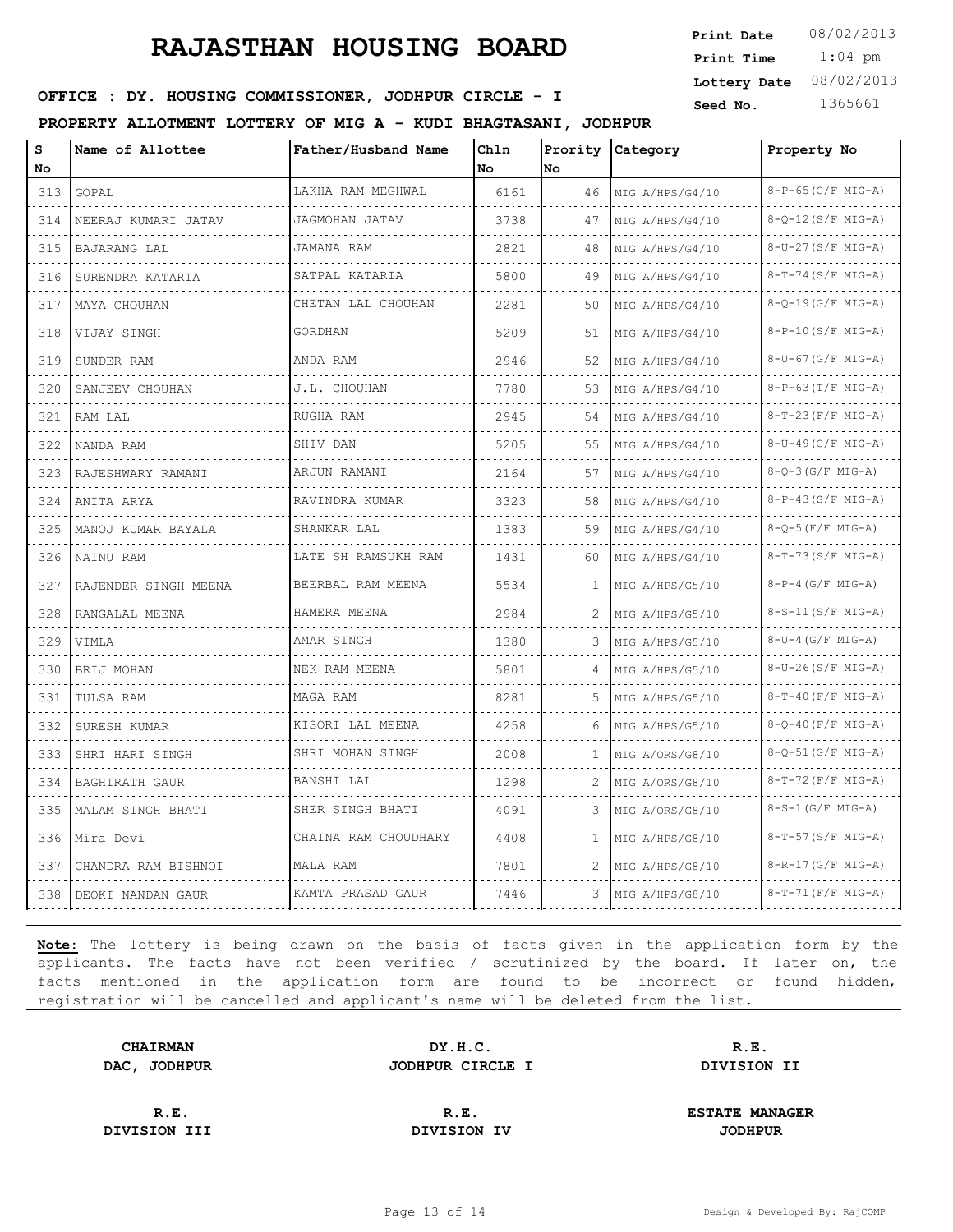1:04 pm **Print Date**  $08/02/2013$ **Print Time Lottery Date** 08/02/2013

# **SEED INC. HOUSING COMMISSIONER, JODHPUR CIRCLE - I** Seed No. 1365661

**PROPERTY ALLOTMENT LOTTERY OF MIG A - KUDI BHAGTASANI, JODHPUR**

| S   | Name of Allottee      | Father/Husband Name  | Chln |    | Prority Category | Property No               |
|-----|-----------------------|----------------------|------|----|------------------|---------------------------|
| No  |                       |                      | No   | No |                  |                           |
| 313 | GOPAL                 | LAKHA RAM MEGHWAL    | 6161 | 46 | MIG A/HPS/G4/10  | $8-P-65(G/F MIG-A)$       |
| 314 | NEERAJ KUMARI JATAV   | JAGMOHAN JATAV       | 3738 | 47 | MIG A/HPS/G4/10  | $8 - 0 - 12$ (S/F MIG-A)  |
| 315 | BAJARANG LAL          | JAMANA RAM           | 2821 | 48 | MIG A/HPS/G4/10  | 8-U-27 (S/F MIG-A)        |
| 316 | SURENDRA KATARIA      | SATPAL KATARIA       | 5800 | 49 | MIG A/HPS/G4/10  | 8-T-74 (S/F MIG-A)        |
| 317 | MAYA CHOUHAN          | CHETAN LAL CHOUHAN   | 2281 | 50 | MIG A/HPS/G4/10  | 8-Q-19(G/F MIG-A)         |
| 318 | VIJAY SINGH           | GORDHAN              | 5209 | 51 | MIG A/HPS/G4/10  | $8 - P - 10(S/F MIG - A)$ |
| 319 | SUNDER RAM            | ANDA RAM             | 2946 | 52 | MIG A/HPS/G4/10  | 8-U-67 (G/F MIG-A)        |
| 320 | SANJEEV CHOUHAN       | J.L. CHOUHAN         | 7780 | 53 | MIG A/HPS/G4/10  | $8-P-63(T/F MIG-A)$       |
| 321 | RAM LAL               | RUGHA RAM            | 2945 | 54 | MIG A/HPS/G4/10  | $8-T-23(F/F MIG-A)$       |
| 322 | NANDA RAM             | SHIV DAN             | 5205 | 55 | MIG A/HPS/G4/10  | 8-U-49 (G/F MIG-A)        |
| 323 | RAJESHWARY RAMANI     | ARJUN RAMANI         | 2164 | 57 | MIG A/HPS/G4/10  | $8-Q-3(G/F MIG-A)$        |
| 324 | ANITA ARYA            | RAVINDRA KUMAR       | 3323 | 58 | MIG A/HPS/G4/10  | $8-P-43(S/F MIG-A)$       |
| 325 | MANOJ KUMAR BAYALA    | SHANKAR LAL          | 1383 | 59 | MIG A/HPS/G4/10  | $8-Q-5$ (F/F MIG-A)       |
| 326 | NAINU RAM             | LATE SH RAMSUKH RAM  | 1431 | 60 | MIG A/HPS/G4/10  | 8-T-73(S/F MIG-A)         |
| 327 | RAJENDER SINGH MEENA  | BEERBAL RAM MEENA    | 5534 | 1  | MIG A/HPS/G5/10  | $8-P-4(G/F MIG-A)$        |
| 328 | RANGALAL MEENA        | HAMERA MEENA         | 2984 | 2  | MIG A/HPS/G5/10  | $8-S-11(S/F MIG-A)$       |
| 329 | <b>VTMLA</b>          | AMAR SINGH           | 1380 | 3  | MIG A/HPS/G5/10  | $8-U-4$ (G/F MIG-A)       |
| 330 | BRIJ MOHAN            | NEK RAM MEENA        | 5801 | 4  | MIG A/HPS/G5/10  | $8-U-26(S/F MIG-A)$       |
| 331 | TULSA RAM             | MAGA RAM             | 8281 | 5  | MIG A/HPS/G5/10  | $8-T-40(F/F MIG-A)$       |
| 332 | SURESH KUMAR          | KISORI LAL MEENA     | 4258 | 6  | MIG A/HPS/G5/10  | $8 - 0 - 40$ (F/F MIG-A)  |
| 333 | SHRI HARI SINGH       | SHRI MOHAN SINGH     | 2008 | 1  | MIG A/ORS/G8/10  | $8 - 0 - 51$ (G/F MIG-A)  |
| 334 | <b>BAGHIRATH GAUR</b> | BANSHI LAL           | 1298 |    | MIG A/ORS/G8/10  | $8-T-72(F/F MIG-A)$       |
| 335 | MALAM SINGH BHATI     | SHER SINGH BHATI     | 4091 |    | MIG A/ORS/G8/10  | $8-S-1$ (G/F MIG-A)       |
| 336 | Mira Devi             | CHAINA RAM CHOUDHARY | 4408 | 1  | MIG A/HPS/G8/10  | $8-T-57(S/F MIG-A)$       |
| 337 | CHANDRA RAM BISHNOI   | MALA RAM             | 7801 | 2  | MIG A/HPS/G8/10  | $8 - R - 17 (G/F MIG-A)$  |
| 338 | DEOKI NANDAN GAUR     | KAMTA PRASAD GAUR    | 7446 | 3  | MIG A/HPS/G8/10  | $8-T-71(F/F MIG-A)$       |

**Note:** The lottery is being drawn on the basis of facts given in the application form by the applicants. The facts have not been verified / scrutinized by the board. If later on, the facts mentioned in the application form are found to be incorrect or found hidden, registration will be cancelled and applicant's name will be deleted from the list.

**CHAIRMAN DY.H.C. R.E. DAC, JODHPUR JODHPUR CIRCLE I DIVISION II**

**DIVISION III DIVISION IV JODHPUR**